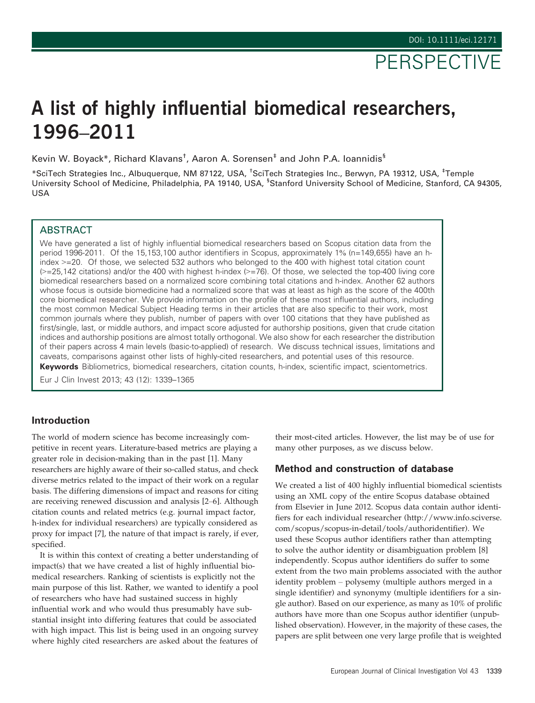# A list of highly influential biomedical researchers, 1996–2011

Kevin W. Boyack\*, Richard Klavans<sup>t</sup>, Aaron A. Sorensen<sup>‡</sup> and John P.A. loannidis<sup>§</sup>

\*SciTech Strategies Inc., Albuquerque, NM 87122, USA, † SciTech Strategies Inc., Berwyn, PA 19312, USA, ‡ Temple University School of Medicine, Philadelphia, PA 19140, USA, <sup>s</sup>Stanford University School of Medicine, Stanford, CA 94305, USA

### **ABSTRACT**

We have generated a list of highly influential biomedical researchers based on Scopus citation data from the period 1996-2011. Of the 15,153,100 author identifiers in Scopus, approximately 1% (n=149,655) have an hindex >=20. Of those, we selected 532 authors who belonged to the 400 with highest total citation count  $(>=25,142$  citations) and/or the 400 with highest h-index  $(>=76)$ . Of those, we selected the top-400 living core biomedical researchers based on a normalized score combining total citations and h-index. Another 62 authors whose focus is outside biomedicine had a normalized score that was at least as high as the score of the 400th core biomedical researcher. We provide information on the profile of these most influential authors, including the most common Medical Subject Heading terms in their articles that are also specific to their work, most common journals where they publish, number of papers with over 100 citations that they have published as first/single, last, or middle authors, and impact score adjusted for authorship positions, given that crude citation indices and authorship positions are almost totally orthogonal. We also show for each researcher the distribution of their papers across 4 main levels (basic-to-applied) of research. We discuss technical issues, limitations and caveats, comparisons against other lists of highly-cited researchers, and potential uses of this resource. Keywords Bibliometrics, biomedical researchers, citation counts, h-index, scientific impact, scientometrics.

Eur J Clin Invest 2013; 43 (12): 1339–1365

## Introduction

The world of modern science has become increasingly competitive in recent years. Literature-based metrics are playing a greater role in decision-making than in the past [1]. Many researchers are highly aware of their so-called status, and check diverse metrics related to the impact of their work on a regular basis. The differing dimensions of impact and reasons for citing are receiving renewed discussion and analysis [2–6]. Although citation counts and related metrics (e.g. journal impact factor, h-index for individual researchers) are typically considered as proxy for impact [7], the nature of that impact is rarely, if ever, specified.

It is within this context of creating a better understanding of impact(s) that we have created a list of highly influential biomedical researchers. Ranking of scientists is explicitly not the main purpose of this list. Rather, we wanted to identify a pool of researchers who have had sustained success in highly influential work and who would thus presumably have substantial insight into differing features that could be associated with high impact. This list is being used in an ongoing survey where highly cited researchers are asked about the features of their most-cited articles. However, the list may be of use for many other purposes, as we discuss below.

#### Method and construction of database

We created a list of 400 highly influential biomedical scientists using an XML copy of the entire Scopus database obtained from Elsevier in June 2012. Scopus data contain author identifiers for each individual researcher (<http://www.info.sciverse>. com/scopus/scopus-in-detail/tools/authoridentifier). We used these Scopus author identifiers rather than attempting to solve the author identity or disambiguation problem [8] independently. Scopus author identifiers do suffer to some extent from the two main problems associated with the author identity problem – polysemy (multiple authors merged in a single identifier) and synonymy (multiple identifiers for a single author). Based on our experience, as many as 10% of prolific authors have more than one Scopus author identifier (unpublished observation). However, in the majority of these cases, the papers are split between one very large profile that is weighted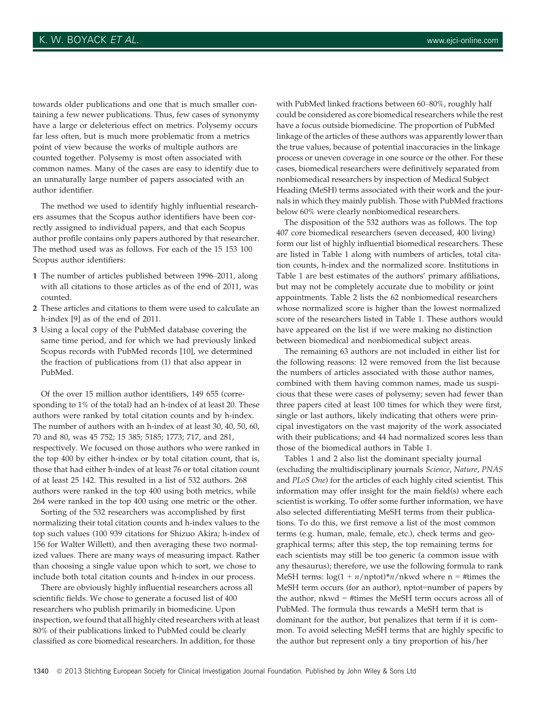towards older publications and one that is much smaller containing a few newer publications. Thus, few cases of synonymy have a large or deleterious effect on metrics. Polysemy occurs far less often, but is much more problematic from a metrics point of view because the works of multiple authors are counted together. Polysemy is most often associated with common names. Many of the cases are easy to identify due to an unnaturally large number of papers associated with an author identifier.

The method we used to identify highly influential researchers assumes that the Scopus author identifiers have been correctly assigned to individual papers, and that each Scopus author profile contains only papers authored by that researcher. The method used was as follows. For each of the 15 153 100 Scopus author identifiers:

- 1 The number of articles published between 1996–2011, along with all citations to those articles as of the end of 2011, was counted.
- 2 These articles and citations to them were used to calculate an h-index [9] as of the end of 2011.
- 3 Using a local copy of the PubMed database covering the same time period, and for which we had previously linked Scopus records with PubMed records [10], we determined the fraction of publications from (1) that also appear in PubMed.

Of the over 15 million author identifiers, 149 655 (corresponding to 1% of the total) had an h-index of at least 20. These authors were ranked by total citation counts and by h-index. The number of authors with an h-index of at least 30, 40, 50, 60, 70 and 80, was 45 752; 15 385; 5185; 1773; 717, and 281, respectively. We focused on those authors who were ranked in the top 400 by either h-index or by total citation count, that is, those that had either h-index of at least 76 or total citation count of at least 25 142. This resulted in a list of 532 authors. 268 authors were ranked in the top 400 using both metrics, while 264 were ranked in the top 400 using one metric or the other.

Sorting of the 532 researchers was accomplished by first normalizing their total citation counts and h-index values to the top such values (100 939 citations for Shizuo Akira; h-index of 156 for Walter Willett), and then averaging these two normalized values. There are many ways of measuring impact. Rather than choosing a single value upon which to sort, we chose to include both total citation counts and h-index in our process.

There are obviously highly influential researchers across all scientific fields. We chose to generate a focused list of 400 researchers who publish primarily in biomedicine. Upon inspection, we found that all highly cited researchers with atleast 80% of their publications linked to PubMed could be clearly classified as core biomedical researchers. In addition, for those

with PubMed linked fractions between 60–80%, roughly half could be considered as core biomedical researchers while the rest have a focus outside biomedicine. The proportion of PubMed linkage of the articles of these authors was apparently lower than the true values, because of potential inaccuracies in the linkage process or uneven coverage in one source or the other. For these cases, biomedical researchers were definitively separated from nonbiomedical researchers by inspection of Medical Subject Heading (MeSH) terms associated with their work and the journals in which they mainly publish. Those with PubMed fractions below 60% were clearly nonbiomedical researchers.

The disposition of the 532 authors was as follows. The top 407 core biomedical researchers (seven deceased, 400 living) form our list of highly influential biomedical researchers. These are listed in Table 1 along with numbers of articles, total citation counts, h-index and the normalized score. Institutions in Table 1 are best estimates of the authors' primary affiliations, but may not be completely accurate due to mobility or joint appointments. Table 2 lists the 62 nonbiomedical researchers whose normalized score is higher than the lowest normalized score of the researchers listed in Table 1. These authors would have appeared on the list if we were making no distinction between biomedical and nonbiomedical subject areas.

The remaining 63 authors are not included in either list for the following reasons: 12 were removed from the list because the numbers of articles associated with those author names, combined with them having common names, made us suspicious that these were cases of polysemy; seven had fewer than three papers cited at least 100 times for which they were first, single or last authors, likely indicating that others were principal investigators on the vast majority of the work associated with their publications; and 44 had normalized scores less than those of the biomedical authors in Table 1.

Tables 1 and 2 also list the dominant specialty journal (excluding the multidisciplinary journals Science, Nature, PNAS and PLoS One) for the articles of each highly cited scientist. This information may offer insight for the main field(s) where each scientist is working. To offer some further information, we have also selected differentiating MeSH terms from their publications. To do this, we first remove a list of the most common terms (e.g. human, male, female, etc.), check terms and geographical terms; after this step, the top remaining terms for each scientists may still be too generic (a common issue with any thesaurus); therefore, we use the following formula to rank MeSH terms:  $log(1 + n/nptot)*n/nkwd$  where  $n = #times$  the MeSH term occurs (for an author), nptot=number of papers by the author, nkwd = #times the MeSH term occurs across all of PubMed. The formula thus rewards a MeSH term that is dominant for the author, but penalizes that term if it is common. To avoid selecting MeSH terms that are highly specific to the author but represent only a tiny proportion of his/her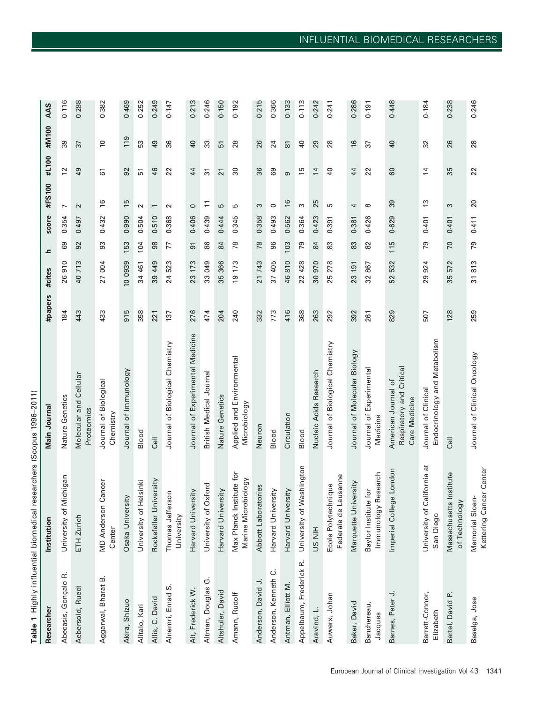| Researcher                   | Institution                                     | Main Journal                                                     | #papers | #cites    | ᇰ   | score | #FS100            | #L100           | #M100               | AAS   |
|------------------------------|-------------------------------------------------|------------------------------------------------------------------|---------|-----------|-----|-------|-------------------|-----------------|---------------------|-------|
| Abecasis, Gonçalo R.         | University of Michigan                          | Nature Genetics                                                  | 184     | 26910     | 89  | 0.354 | $\overline{ }$    | $\overline{c}$  | 39                  | 0.116 |
| Aebersold, Ruedi             | ETH Zurich                                      | Molecular and Cellular<br>Proteomics                             | 443     | 40713     | 92  | 0.497 | $\mathbf{\Omega}$ | $\overline{6}$  | 37                  | 0.288 |
| Aggarwal, Bharat B.          | <b>MD Anderson Cancer</b><br>Center             | Journal of Biological<br>Chemistry                               | 433     | 27 004    | 93  | 0.432 | $\frac{6}{2}$     | 61              | $\overline{0}$      | 0.382 |
| Akira, Shizuo                | Osaka University                                | Journal of Immunology                                            | 915     | 10 0939   | 153 | 0.990 | $\overline{15}$   | 92              | 119                 | 0.469 |
| Alitalo, Kari                | University of Helsinki                          | Blood                                                            | 358     | 34 461    | 104 | 0.504 | $\sim$            | 51              | 53                  | 0.252 |
| Allis, C. David              | Rockefeller University                          | Cell                                                             | 221     | 39 449    | 98  | 0.510 | $\overline{ }$    | 46              | 49                  | 0.249 |
| Alnemri, Emad S.             | Thomas Jefferson<br>University                  | Journal of Biological Chemistry                                  | 137     | 523<br>24 | 77  | 0.368 | $\mathbf{\Omega}$ | 22              | 36                  | 0.147 |
| Alt, Frederick W.            | Harvard University                              | Journal of Experimental Medicine                                 | 276     | 23 173    | 51  | 0.406 | $\circ$           | 44              | $\overline{a}$      | 0.213 |
| Altman, Douglas G.           | University of Oxford                            | British Medical Journal                                          | 474     | 33 049    | 86  | 0.439 | Ξ                 | $\overline{3}$  | 33                  | 0.246 |
| Altshuler, David             | Harvard University                              | Nature Genetics                                                  | 204     | 35 366    | 84  | 0.444 | S                 | $\overline{21}$ | 51                  | 0.150 |
| Amann, Rudolf                | Max Planck Institute for<br>Marine Microbiology | Applied and Environmental<br>Microbiology                        | 240     | 19 173    | 78  | 0.345 | S                 | ೫               | 28                  | 0.192 |
| Anderson, David J.           | Abbott Laboratories                             | Neuron                                                           | 332     | 21743     | 78  | 0.358 | S                 | 36              | 26                  | 0.215 |
| Anderson, Kenneth C.         | Harvard University                              | Blood                                                            | 773     | 37 405    | 96  | 0.493 | $\circ$           | 89              | 24                  | 0.366 |
| Antman, Elliott M.           | Harvard University                              | Circulation                                                      | 416     | 46810     | 103 | 0.562 | $\frac{6}{2}$     | ၜ               | $\overline{\infty}$ | 0.133 |
| Appelbaum, Frederick R.      | University of Washington                        | Blood                                                            | 368     | 22 428    | 79  | 0.364 | S                 | 15              | $\overline{4}$      | 0.113 |
| Aravind, L.                  | <b>HIN SN</b>                                   | Nucleic Acids Research                                           | 263     | 30 970    | 84  | 0.423 | 25                | $\overline{1}$  | 29                  | 0.242 |
| Auwerx, Johan                | Federale de Lausanne<br>Ecole Polytechnique     | Journal of Biological Chemistry                                  | 292     | 278<br>25 | 83  | 0.391 | ю                 | $\overline{4}$  | 28                  | 0.241 |
| Baker, David                 | Marquette University                            | Journal of Molecular Biology                                     | 392     | 23 191    | 83  | 0.381 | 4                 | 44              | $\frac{6}{2}$       | 0.286 |
| Banchereau,<br>Jacques       | Immunology Research<br>Baylor Institute for     | Journal of Experimental<br>Medicine                              | 261     | 867<br>32 | 82  | 0.426 | $\infty$          | 22              | 57                  | 0.191 |
| Barnes, Peter J.             | e London<br>Imperial Colleg                     | Respiratory and Critical<br>American Journal of<br>Care Medicine | 829     | 532<br>52 | 115 | 0.629 | 39                | 60              | $\overline{40}$     | 0.448 |
| Barrett-Connor,<br>Elizabeth | University of California at<br>San Diego        | Endocrinology and Metabolism<br>Journal of Clinical              | 507     | 924<br>29 | 79  | 0.401 | $\frac{3}{2}$     | $\overline{4}$  | 32                  | 0.184 |
| Bartel, David P.             | Institute<br>of Technology<br>Massachusetts     | ااق                                                              | 128     | 572<br>35 | 70  | 0.401 | S                 | 35              | 26                  | 0.238 |
| Baselga, Jose                | Kettering Cancer Center<br>Memorial Sloan-      | Journal of Clinical Oncology                                     | 259     | 31813     | 79  | 0.411 | 20                | 22              | 28                  | 0.246 |

European Journal of Clinical Investigation Vol 43 1341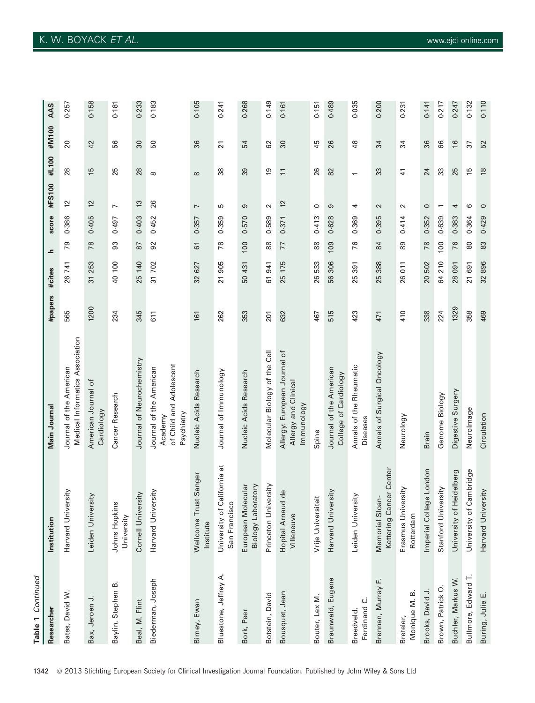| Table 1 Continued          |                                                 |                                                                             |         |                      |                |       |                          |                |                 |       |
|----------------------------|-------------------------------------------------|-----------------------------------------------------------------------------|---------|----------------------|----------------|-------|--------------------------|----------------|-----------------|-------|
| Researche                  | Institution                                     | Main Journal                                                                | #papers | #cites               | ᇰ              | score | #FS100                   | #L100          | #M100           | AAS   |
| Bates, David W.            | Harvard University                              | Medical Informatics Association<br>Journal of the American                  | 565     | 26 741               | 79             | 0.386 | 57                       | 28             | $\overline{20}$ | 0.257 |
| Bax, Jeroen J.             | Leiden University                               | American Journal of<br>Cardiology                                           | 1200    | 31 253               | 78             | 0.405 | $\overline{2}$           | $\frac{5}{2}$  | 42              | 0.158 |
| Baylin, Stephen B.         | Johns Hopkins<br>University                     | Cancer Research                                                             | 234     | 40 100               | 33             | 0.497 | $\overline{ }$           | 25             | 95              | 0.181 |
| Beal, M. Flint             | Cornell University                              | Journal of Neurochemistry                                                   | 345     | 25 140               | 50             | 0.403 | $\tilde{c}$              | 28             | $\overline{30}$ | 0.233 |
| Biederman, Joseph          | Harvard University                              | of Child and Adolescent<br>Journal of the American<br>Psychiatry<br>Academy | 611     | 31702                | 92             | 0.452 | 26                       | $\infty$       | 50              | 0.183 |
| Birney, Ewan               | Wellcome Trust Sanger<br>Institute              | Nucleic Acids Research                                                      | 161     | 32 627               | 61             | 0.357 | $\overline{ }$           | $\infty$       | 36              | 0.105 |
| Bluestone, Jeffrey A.      | California at<br>San Francisco<br>University of | Journal of Immunology                                                       | 262     | 905<br>21            | 78             | 0.359 | S                        | 38             | $\overline{2}$  | 0.241 |
| Bork, Peer                 | Biology Laboratory<br>European Molecular        | Nucleic Acids Research                                                      | 353     | 50 431               | 100            | 0.570 | ၜ                        | 39             | 54              | 0.268 |
| Botstein, David            | Princeton University                            | Molecular Biology of the Cell                                               | 201     | 61941                | 88             | 0.589 | $\sim$                   | $\overline{9}$ | 62              | 0.149 |
| Bousquet, Jean             | Hopital Arnaud de<br>Villeneuve                 | Allergy: European Journal of<br>Allergy and Clinical<br>lmmunology          | 632     | 175<br>25            | 77             | 0.371 | $\tilde{c}$              | $\overline{1}$ | $\infty$        | 0.161 |
| Bouter, Lex M.             | Vrije Universiteit                              | Spine                                                                       | 467     | 26533                | 88             | 0.413 | $\circ$                  | 26             | 45              | 0.151 |
| Braunwald, Eugene          | Harvard University                              | Journal of the American<br>College of Cardiology                            | 515     | 56 306               | <b>POL</b>     | 0.628 | თ                        | 82             | 26              | 0.489 |
| Ferdinand C.<br>Breedveld, | Leiden University                               | Annals of the Rheumatic<br>Diseases                                         | 423     | 391<br>25            | 76             | 0.369 | 4                        | $\overline{ }$ | $\frac{8}{3}$   | 0.035 |
| Brennan, Murray F.         | Kettering Cancer Center<br>Memorial Sloan-      | Annals of Surgical Oncology                                                 | 471     | 388<br>25            | $\overline{8}$ | 0.395 | $\sim$                   | 33             | 34              | 0.200 |
| Monique M. B.<br>Breteler, | Erasmus University<br>Rotterdam                 | Neurology                                                                   | 410     | $\overline{5}$<br>26 | 89             | 0.414 | $\sim$                   | 41             | 34              | 0.231 |
| Brooks, David J.           | Imperial College London                         | Brain                                                                       | 338     | 20 502               | 78             | 0.352 | $\circ$                  | 24             | 36              | 0.141 |
| Brown, Patrick O           | Stanford University                             | Genome Biology                                                              | 224     | 64 210               | 100            | 0.639 | $\overline{\phantom{0}}$ | 33             | 86              | 0.217 |
| Buchler, Markus W.         | Heidelberg<br>University of                     | Digestive Surgery                                                           | 1329    | 28 091               | 76             | 0.383 | 4                        | 25             | $\frac{1}{6}$   | 0.247 |
| Bullmore, Edward T.        | University of Cambridge                         | Neurolmage                                                                  | 358     | 21 691               | 80             | 0.364 | $\circ$                  | 15             | 37              | 0.132 |
| Buring, Julie E.           | Harvard University                              | Circulation                                                                 | 469     | 32896                | 83             | 0.429 | $\circ$                  | $\frac{8}{2}$  | 52              | 0.110 |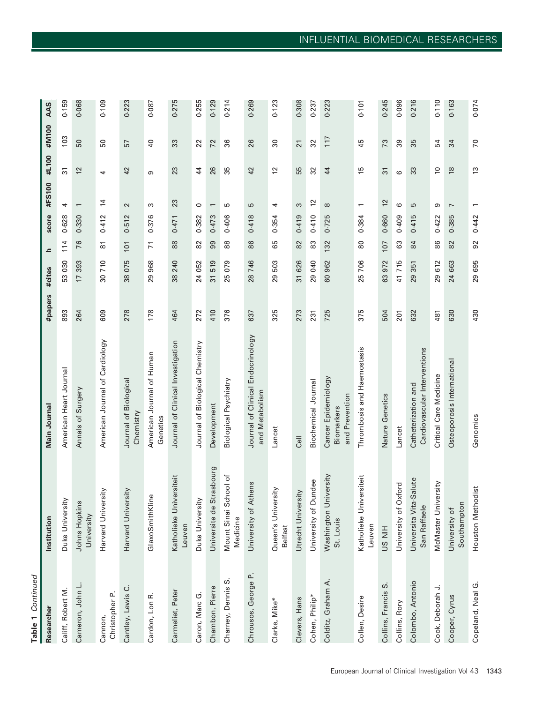| i.          |  |
|-------------|--|
| ı<br>٠<br>٠ |  |
| r.          |  |

| Researcher                | Institution                            | Main Journal                                        | #papers | #cites    | ᇰ              | score | #FS100                   | #L100            | #M100           | AAS   |
|---------------------------|----------------------------------------|-----------------------------------------------------|---------|-----------|----------------|-------|--------------------------|------------------|-----------------|-------|
| Califf, Robert M.         | Duke University                        | American Heart Journal                              | 893     | 53 030    | 114            | 0.628 | 4                        | 51               | 103             | 0.159 |
| Cameron, John L.          | Johns Hopkins<br>University            | Annals of Surgery                                   | 264     | 17393     | 76             | 0.330 | $\overline{\phantom{m}}$ | 12               | 50              | 0.068 |
| Christopher P.<br>Cannon, | Harvard University                     | American Journal of Cardiology                      | 609     | 30710     | 5              | 0.412 | $\overline{4}$           | 4                | 50              | 0.109 |
| Cantley, Lewis C.         | Harvard University                     | Journal of Biological<br>Chemistry                  | 278     | 38075     | 101            | 0.512 | $\sim$                   | 42               | 57              | 0.223 |
| Cardon, Lon R.            | GlaxoSmithKline                        | American Journal of Human<br>Genetics               | 178     | 29 968    | $\overline{7}$ | 0.376 | S                        | ω                | $\overline{a}$  | 0.087 |
| Carmeliet, Peter          | Katholieke Universiteit<br>Leuven      | Journal of Clinical Investigation                   | 464     | 38 240    | $88$           | 0.471 | 23                       | 23               | 33              | 0.275 |
| Caron, Marc G.            | Duke University                        | Journal of Biological Chemistry                     | 272     | 24 052    | 82             | 0.382 | $\circ$                  | $\overline{4}$   | 22              | 0.255 |
| Chambon, Pierre           | Universite de Strasbourg               | Development                                         | 410     | 31519     | 99             | 0.473 | $\overline{\phantom{0}}$ | 26               | 72              | 0.129 |
| Charney, Dennis S.        | Mount Sinai School of<br>Medicine      | Biological Psychiatry                               | 376     | 25079     | 88             | 0.406 | 5                        | 35               | 36              | 0.214 |
| Chrousos, George P.       | University of Athens                   | Journal of Clinical Endocrinology<br>and Metabolism | 637     | 28746     | 86             | 0.418 | 5                        | 42               | 26              | 0.269 |
| Clarke, Mike*             | Queen's University<br><b>Belfast</b>   | Lancet                                              | 325     | 29503     | 65             | 0.354 | 4                        | $\overline{2}$   | 30              | 0.123 |
| Clevers, Hans             | Utrecht University                     | Cell                                                | 273     | 31 626    | 82             | 0.419 | 3                        | 55               | 21              | 0.308 |
| Cohen, Philip*            | University of Dundee                   | Biochemical Journal                                 | 231     | 29 040    | 83             | 0.410 | $\overline{c}$           | 32               | 32              | 0.237 |
| Colditz, Graham A.        | Washington University<br>St. Louis     | Cancer Epidemiology<br>and Prevention<br>Biomarkers | 725     | 60 962    | 132            | 0.725 | $\infty$                 | 44               | 117             | 0.223 |
| Collen, Desire            | Katholieke Universiteit<br>Leuven      | Thrombosis and Haemostasis                          | 375     | 25 706    | 80             | 0.384 | $\overline{ }$           | 15               | 45              | 0.101 |
| Collins, Francis S.       | <b>HIN SN</b>                          | Nature Genetics                                     | 504     | 63972     | 107            | 0.660 | $\frac{2}{3}$            | 31               | 73              | 0.245 |
| Collins, Rory             | University of Oxford                   | Lancet                                              | 201     | 41715     | යි             | 0.409 | ဖ                        | $\mathbf{\circ}$ | 39              | 0.096 |
| Colombo, Antonio          | Universita Vita-Salute<br>San Raffaele | Cardiovascular Interventions<br>Catheterization and | 632     | 351<br>29 | 84             | 0.415 | 5                        | 33               | 35              | 0.216 |
| Cook, Deborah J.          | McMaster University                    | Critical Care Medicine                              | 481     | 29612     | 86             | 0.422 | ၜ                        | $\tilde{0}$      | 54              | 0.110 |
| Cooper, Cyrus             | Southampton<br>University of           | Osteoporosis International                          | 630     | 24 663    | 82             | 0.385 | $\overline{ }$           | $\frac{8}{2}$    | 34              | 0.163 |
| Copeland, Neal G.         | nodist<br>Houston Meth                 | Genomics                                            | 430     | 29 695    | 92             | 0.442 | $\overline{\phantom{0}}$ | $\frac{3}{2}$    | $\overline{70}$ | 0.074 |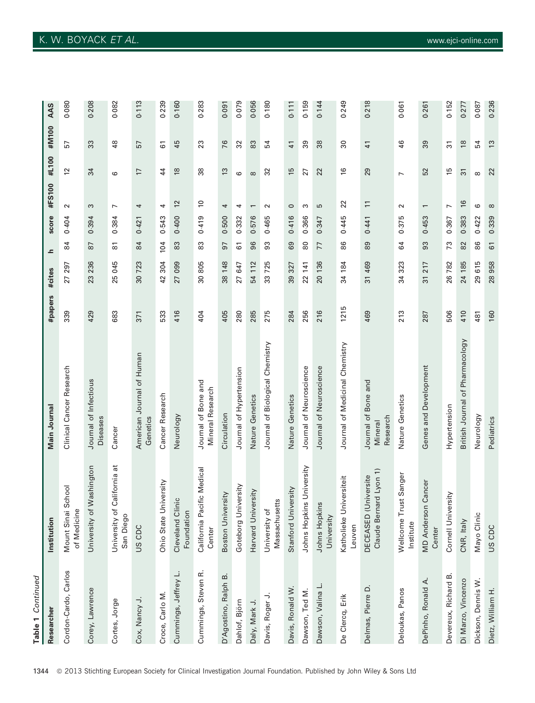| Table 1 Continued    |                                                |                                                |         |            |                     |       |                          |                 |                |       |
|----------------------|------------------------------------------------|------------------------------------------------|---------|------------|---------------------|-------|--------------------------|-----------------|----------------|-------|
| Researcher           | Institution                                    | Main Journal                                   | #papers | #cites     | ᇰ                   | score | #FS100                   | #L100           | #M100          | AAS   |
| Cordon-Cardo, Carlos | Mount Sinai School<br>of Medicine              | Clinical Cancer Research                       | 339     | 27 297     | $\overline{8}$      | 0.404 | $\sim$                   | $\overline{c}$  | 57             | 0.080 |
| Corey, Lawrence      | University of Washington                       | Journal of Infectious<br>Diseases              | 429     | 236<br>23  | 78                  | 0.394 | S                        | 34              | 33             | 0.208 |
| Cortes, Jorge        | ನ<br>California<br>University of<br>San Diego  | Cancer                                         | 683     | 045<br>25  | $\overline{\infty}$ | 0.384 | $\overline{ }$           | ဖ               | $\frac{8}{3}$  | 0.082 |
| Cox, Nancy J.        | US CDC                                         | American Journal of Human<br>Genetics          | 371     | 30723      | 84                  | 0.421 | 4                        | $\overline{17}$ | 57             | 0.113 |
| Croce, Carlo M.      | Ohio State University                          | Cancer Research                                | 533     | 304<br>42  | 104                 | 0.543 | 4                        | 44              | 61             | 0.239 |
| Cummings, Jeffrey L. | Cleveland Clinic<br>Foundation                 | Neurology                                      | 416     | 27 099     | 83                  | 0.400 | $\frac{2}{3}$            | $\frac{8}{2}$   | 45             | 0.160 |
| Cummings, Steven R.  | California Pacific Medical<br>Center           | Journal of Bone and<br><b>Mineral Research</b> | 404     | 30805      | 83                  | 0.419 | $\approx$                | 38              | 23             | 0.283 |
| D'Agostino, Ralph B. | Boston University                              | Circulation                                    | 405     | 38 148     | 5                   | 0.500 | 4                        | $\frac{3}{2}$   | 76             | 0.091 |
| Dahlof, Björn        | Goteborg University                            | Journal of Hypertension                        | 280     | 27 647     | 61                  | 0.332 | 4                        | ဖ               | 32             | 0.079 |
| Daly, Mark J.        | Harvard University                             | Nature Genetics                                | 285     | 112<br>54  | 96                  | 0.576 | $\overline{\phantom{0}}$ | $\infty$        | <u>တွ</u>      | 0.056 |
| Davis, Roger J.      | Massachusetts<br>University of                 | Journal of Biological Chemistry                | 275     | 725<br>က္တ | 33                  | 0.465 | $\sim$                   | 32              | 54             | 0.180 |
| Davis, Ronald W.     | Stanford University                            | Nature Genetics                                | 284     | 39 327     | 69                  | 0.416 | $\circ$                  | 15              | $\frac{4}{1}$  | 0.111 |
| Dawson, Ted M.       | Johns Hopkins University                       | Journal of Neuroscience                        | 256     | 22 141     | 80                  | 0.366 | ω                        | 27              | 39             | 0.159 |
| Dawson, Valina L.    | Johns Hopkins<br>University                    | Journal of Neuroscience                        | 216     | 20 136     | 77                  | 0.347 | Б                        | 22              | 38             | 0.144 |
| De Clercq, Erik      | Katholieke Universiteit<br>Leuven              | Journal of Medicinal Chemistry                 | 1215    | 34 184     | 86                  | 0.445 | 22                       | $\frac{6}{2}$   | 30             | 0.249 |
| Delmas, Pierre D.    | Claude Bernard Lyon 1)<br>DECEASED (Universite | Journal of Bone and<br>Research<br>Mineral     | 469     | 31 469     | 89                  | 0.441 | $\Xi$                    | 29              | $\frac{4}{1}$  | 0.218 |
| Deloukas, Panos      | st Sanger<br>Wellcome Tru<br>Institute         | Nature Genetics                                | 213     | 34 323     | 84                  | 0.375 | $\sim$                   | $\overline{ }$  | 46             | 0.061 |
| DePinho, Ronald A.   | Cancer<br><b>MD</b> Anderson<br>Center         | Genes and Development                          | 287     | 217<br>51  | 93                  | 0.453 | $\overline{ }$           | 52              | 39             | 0.261 |
| Devereux, Richard B. | Cornell University                             | Hypertension                                   | 506     | 26782      | 73                  | 0.367 | L                        | 15              | $\overline{3}$ | 0.152 |
| Di Marzo, Vincenzo   | CNR, Italy                                     | British Journal of Pharmacology                | 410     | 24 185     | 82                  | 0.383 | $\frac{16}{2}$           | $\overline{3}$  | $\frac{8}{2}$  | 0.277 |
| Dickson, Dennis W.   | Mayo Clinic                                    | Neurology                                      | 481     | 615<br>29  | 86                  | 0.422 | $\circ$                  | $\infty$        | 54             | 0.087 |
| Dietz, William H.    | US CDC                                         | Pediatrics                                     | 160     | 28958      | 61                  | 0.339 | $\infty$                 | 22              | $\frac{3}{2}$  | 0.236 |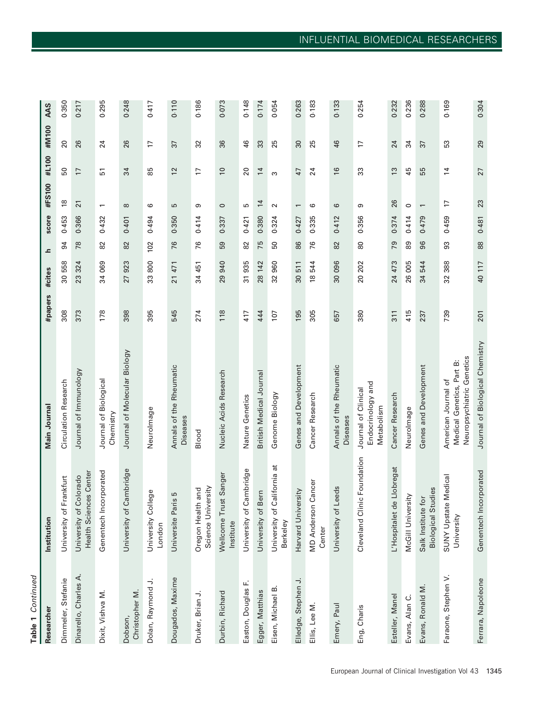| ٠<br>₹ |  |
|--------|--|

|                                                   | Researcher                                 | Institution                                         | Main Journal                                                                  | #papers          | #cites                | ᇰ   | score | #FS100                   | #L100           | #M100            | AAS   |
|---------------------------------------------------|--------------------------------------------|-----------------------------------------------------|-------------------------------------------------------------------------------|------------------|-----------------------|-----|-------|--------------------------|-----------------|------------------|-------|
|                                                   | Dimmeler, Stefanie                         | Frankfurt<br>University of                          | Circulation Research                                                          | 308              | 30 558                | 54  | 0.453 | $\frac{8}{2}$            | 50              | $\overline{c}$   | 0.350 |
|                                                   | Dinarello, Charles A.                      | Health Sciences Center<br>University of Colorado    | Journal of Immunology                                                         | 373              | 23 324                | 78  | 0.366 | $\overline{21}$          | $\overline{1}$  | 26               | 0.217 |
|                                                   | Dixit, Vishva M.                           | Genentech Incorporated                              | Journal of Biological<br>Chemistry                                            | 178              | 34 069                | 82  | 0.432 | $\overline{\phantom{0}}$ | 51              | 24               | 0.295 |
|                                                   | Christopher M.<br>Dobson,                  | University of Cambridge                             | Journal of Molecular Biology                                                  | 398              | 923<br>27             | 82  | 0.401 | $\infty$                 | 34              | 26               | 0.248 |
|                                                   | $\overline{\phantom{a}}$<br>Dolan, Raymond | University College<br>London                        | Neurolmage                                                                    | 395              | 33800                 | 102 | 0.494 | ဖ                        | 85              | F                | 0.417 |
|                                                   | Dougados, Maxime                           | 5<br>Universite Paris                               | Annals of the Rheumatic<br>Diseases                                           | 545              | 21 471                | 76  | 0.350 | 5                        | 12              | 37               | 0.110 |
|                                                   | Druker, Brian J.                           | Science University<br>Oregon Health and             | Blood                                                                         | 274              | 34 451                | 76  | 0.414 | ၜ                        | $\overline{17}$ | 32               | 0.186 |
|                                                   | Durbin, Richard                            | Wellcome Trust Sanger<br>Institute                  | Nucleic Acids Research                                                        | 118              | 29 940                | 59  | 0.337 | $\circ$                  | $\overline{0}$  | 36               | 0.073 |
|                                                   | щ,<br>Easton, Douglas                      | Cambridge<br>University of                          | Nature Genetics                                                               | 417              | 935<br>$\overline{5}$ | 82  | 0.421 | Б                        | 20              | 46               | 0.148 |
|                                                   | Egger, Matthias                            | Bern<br>University of                               | British Medical Journal                                                       | 444              | 142<br>28             | 75  | 0.380 | $\overline{4}$           | $\overline{1}$  | 33               | 0.174 |
|                                                   | Eisen, Michael B.                          | University of California at<br>Berkeley             | Genome Biology                                                                | 107              | 32 960                | 50  | 0.324 | $\sim$                   | S               | 25               | 0.054 |
|                                                   | Elledge, Stephen J.                        | Harvard University                                  | Genes and Development                                                         | 195              | 30 511                | 86  | 0.427 | $\overline{\phantom{0}}$ | 47              | $\boldsymbol{S}$ | 0.263 |
|                                                   | Ellis, Lee M.                              | Cancer<br><b>MD</b> Anderson<br>Center              | Cancer Research                                                               | 305              | 18544                 | 76  | 0.335 | ဖ                        | 24              | 25               | 0.183 |
|                                                   | Emery, Paul                                | Leeds<br>University of                              | Annals of the Rheumatic<br><b>Diseases</b>                                    | 657              | 30 096                | 82  | 0.412 | 6                        | $\frac{6}{2}$   | 46               | 0.133 |
|                                                   | Eng, Charis                                | Cleveland Clinic Foundation                         | Endocrinology and<br>Journal of Clinical<br>Metabolism                        | 380              | 20 20 2               | 80  | 0.356 | စာ                       | 33              | 17               | 0.254 |
|                                                   | Esteller, Manel                            | L'Hospitalet de Llobregat                           | Cancer Research                                                               | $\overline{311}$ | 24 473                | 79  | 0.374 | 26                       | $\frac{3}{2}$   | 24               | 0.232 |
|                                                   | Evans, Alan C.                             | McGill University                                   | NeuroImage                                                                    | 415              | 26 005                | 89  | 0.414 | $\circ$                  | 45              | 34               | 0.236 |
|                                                   | Evans, Ronald M.                           | udies<br>Salk Institute for<br><b>Biological St</b> | Genes and Development                                                         | 237              | 34 544                | 96  | 0.479 | $\overline{\phantom{0}}$ | 55              | 57               | 0.288 |
| European Journal of Clinical Investigation Vol 43 | Faraone, Stephen V.                        | SUNY Upstate Medical<br>University                  | Neuropsychiatric Genetics<br>Medical Genetics, Part B:<br>American Journal of | 739              | 32 388                | 93  | 0.459 | 17                       | $\overline{1}$  | S3               | 0.169 |
|                                                   | Ferrara, Napoleone                         | Genentech Incorporated                              | Journal of Biological Chemistry                                               | 201              | 117<br>$\overline{a}$ | 88  | 0.481 | 23                       | 27              | 29               | 0.304 |
| 1345                                              |                                            |                                                     |                                                                               |                  |                       |     |       |                          |                 |                  |       |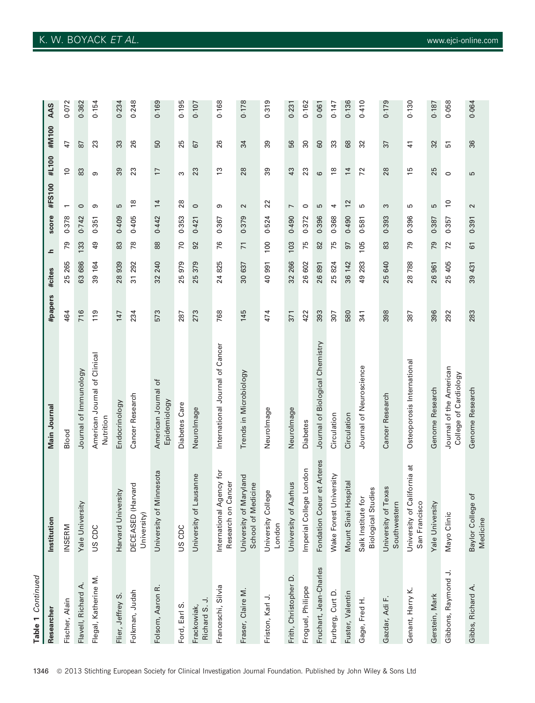| Table 1 Continued            |                                                 |                                                  |         |                       |                 |       |                          |                   |                 |       |
|------------------------------|-------------------------------------------------|--------------------------------------------------|---------|-----------------------|-----------------|-------|--------------------------|-------------------|-----------------|-------|
| Researcher                   | Institution                                     | Main Journal                                     | #papers | #cites                | ᅩ               | score | #FS100                   | #L100             | #M100           | AAS   |
| Fischer, Alain               | INSERM                                          | Blood                                            | 464     | 25 265                | ൭<br>∼          | 0.378 | $\overline{\phantom{0}}$ | S                 | 47              | 0.072 |
| Flavell, Richard A.          | Yale University                                 | Journal of Immunology                            | 716     | 63 686                | 133             | 0.742 | $\circ$                  | 83                | 87              | 0.362 |
| Flegal, Katherine M.         | US CDC                                          | American Journal of Clinical<br>Nutrition        | 119     | 39 164                | $\overline{6}$  | 0.351 | თ                        | ၜ                 | 23              | 0.154 |
| Flier, Jeffrey S.            | Harvard University                              | Endocrinology                                    | 147     | 28939                 | 83              | 0.409 | 5                        | 89                | 33              | 0.234 |
| Folkman, Judah               | DECEASED (Harvard<br>University)                | Cancer Research                                  | 234     | 292<br>51             | 78              | 0.405 | $\frac{8}{2}$            | 23                | 26              | 0.248 |
| Folsom, Aaron R.             | University of Minnesota                         | American Journal of<br>Epidemiology              | 573     | 240<br>32             | 88              | 0.442 | $\overline{1}$           | $\overline{1}$    | 50              | 0.169 |
| Ford, Earl S.                | US CDC                                          | Diabetes Care                                    | 287     | 25979                 | $\overline{70}$ | 0.353 | 28                       | ω                 | 25              | 0.195 |
| Richard S. J.<br>Frackowiak, | University of Lausanne                          | Neurolmage                                       | 273     | 379<br>25             | 92              | 0.421 | $\circ$                  | 23                | 67              | 0.107 |
| Franceschi, Silvia           | International Agency for<br>Research on Cancer  | International Journal of Cancer                  | 768     | 825<br>24             | 76              | 0.367 | ၜ                        | $\frac{3}{2}$     | 26              | 0.168 |
| Fraser, Claire M.            | University of Maryland<br>School of Medicine    | Trends in Microbiology                           | 145     | 30 637                | $\overline{7}$  | 0.379 | $\sim$                   | 28                | 34              | 0.178 |
| Friston, Karl J.             | University College<br>London                    | Neurolmage                                       | 474     | 991<br>$\overline{a}$ | 100             | 0.524 | 22                       | 89                | 39              | 0.319 |
| Frith, Christopher D.        | University of Aarhus                            | Neurolmage                                       | 371     | 32 266                | 103             | 0.490 | $\overline{ }$           | 43                | 56              | 0.231 |
| Froguel, Philippe            | e London<br>Imperial Colleg                     | <b>Diabetes</b>                                  | 422     | 26 602                | 75              | 0.372 | $\circ$                  | 23                | $\overline{30}$ | 0.162 |
| Fruchart, Jean-Charles       | Fondation Coeur et Arteres                      | Journal of Biological Chemistry                  | 393     | 26891                 | 82              | 0.396 | Б                        | $\mathbf  \omega$ | 60              | 0.061 |
| Furberg, Curt D.             | Wake Forest University                          | Circulation                                      | 307     | 25 824                | 75              | 0.368 | 4                        | $\frac{8}{2}$     | 33              | 0.147 |
| Fuster, Valentin             | Mount Sinai Hospital                            | Circulation                                      | 580     | 36 142                | 97              | 0.490 | $\overline{c}$           | $\overline{1}$    | 68              | 0.136 |
| Gage, Fred H.                | <b>Biological Studies</b><br>Salk Institute for | Journal of Neuroscience                          | 341     | 283<br>49             | 105             | 0.581 | ъ                        | 72                | 32              | 0.410 |
| Gazdar, Adi F.               | University of Texas<br>Southwestern             | Cancer Research                                  | 398     | 25 640                | 83              | 0.393 | S                        | 28                | 37              | 0.179 |
| Genant, Harry K.             | University of California at<br>San Francisco    | Osteoporosis International                       | 387     | 28788                 | 79              | 0.396 | ъ                        | 15                | $\overline{4}$  | 0.130 |
| Gerstein, Mark               | Yale University                                 | Genome Research                                  | 396     | 26961                 | 79              | 0.387 | 5                        | 25                | 32              | 0.187 |
| Gibbons, Raymond J.          | Mayo Clinic                                     | Journal of the American<br>College of Cardiology | 292     | 25 405                | 72              | 0.357 | $\overline{0}$           | $\circ$           | 51              | 0.058 |
| Gibbs, Richard A.            | ð<br>Baylor College<br>Medicine                 | Genome Research                                  | 283     | 39 431                | $\overline{6}$  | 0.391 | $\sim$                   | S                 | 36              | 0.064 |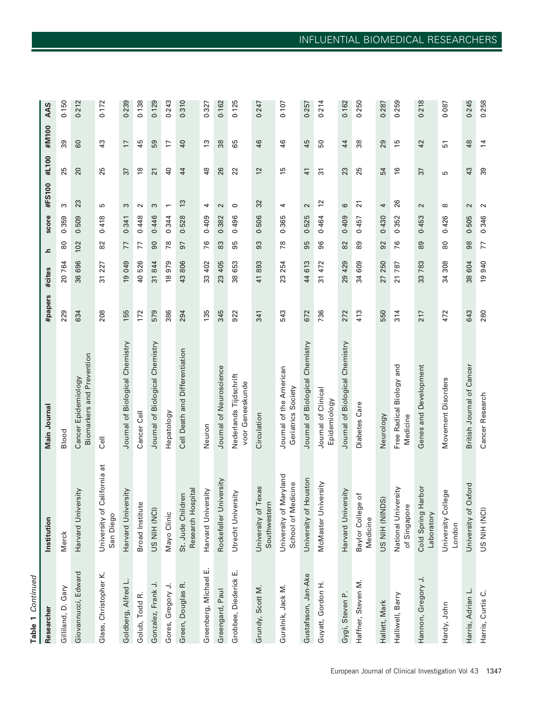| ż<br>٠<br>Ġ | ¢  |  |
|-------------|----|--|
|             |    |  |
|             | r. |  |

| Researcher               | Institution                                  | Main Journal                                     | #papers | #cites                 | ᇰ              | score | #FS100                   | #L100          | #M100           | AAS   |
|--------------------------|----------------------------------------------|--------------------------------------------------|---------|------------------------|----------------|-------|--------------------------|----------------|-----------------|-------|
| Gilliland, D. Gary       | Merck                                        | Blood                                            | 229     | 20 764                 | $\rm ^{\rm 6}$ | 0.359 | S                        | 25             | 39              | 0.150 |
| Giovannucci, Edward      | Ais.<br>Harvard Univer                       | Biomarkers and Prevention<br>Cancer Epidemiology | 634     | 696<br>36              | 102            | 0.509 | 23                       | 20             | 60              | 0.212 |
| Glass, Christopher K.    | California at<br>University of<br>San Diego  | $Ce$ ll                                          | 208     | 227<br>ಸ               | 82             | 0.418 | Б                        | 25             | $\frac{3}{4}$   | 0.172 |
| Goldberg, Alfred L.      | <b>Ais.</b><br>Harvard Univer                | Journal of Biological Chemistry                  | 155     | 19 049                 | 77             | 0.341 | S                        | 37             | $\overline{17}$ | 0.239 |
| Golub, Todd R.           | <b>Broad Institute</b>                       | Cancer Cell                                      | 172     | 526<br>$\overline{a}$  | 77             | 0.448 | $\sim$                   | $\frac{8}{10}$ | 45              | 0.138 |
| Gonzalez, Frank J.       | US NIH (NCI)                                 | Journal of Biological Chemistry                  | 579     | 844<br>57              | $\infty$       | 0.446 | S                        | $\overline{2}$ | 59              | 0.129 |
| Gores, Gregory J.        | Mayo Clinic                                  | Hepatology                                       | 386     | 18979                  | 78             | 0.344 | $\overline{\phantom{0}}$ | $\overline{4}$ | $\overline{1}$  | 0.243 |
| Green, Douglas R.        | Research Hospital<br>St. Jude Children       | Cell Death and Differentiation                   | 294     | 806<br>43              | 57             | 0.528 | $\frac{3}{2}$            | 44             | $\overline{40}$ | 0.310 |
| ய்<br>Greenberg, Michael | Harvard University                           | Neuron                                           | 135     | 402<br>33              | 76             | 0.409 | 4                        | 48             | $\frac{3}{2}$   | 0.327 |
| Greengard, Paul          | Rockefeller University                       | Journal of Neuroscience                          | 345     | 405<br>23              | 83             | 0.382 | $\sim$                   | 26             | 38              | 0.162 |
| Grobbee, Diederick E.    | Utrecht University                           | Nederlands Tijdschrift<br>voor Geneeskunde       | 922     | 653<br>38              | 95             | 0.496 | $\circ$                  | 22             | 65              | 0.125 |
| Grundy, Scott M.         | exas<br>University of T<br>Southwestern      | Circulation                                      | 341     | 893<br>41              | 93             | 0.506 | 32                       | 12             | 46              | 0.247 |
| Guralnik, Jack M.        | University of Maryland<br>School of Medicine | Journal of the American<br>Geriatrics Society    | 543     | 254<br>23              | 78             | 0.365 | 4                        | 15             | 46              | 0.107 |
| Gustafsson, Jan-Ake      | louston<br>University of H                   | Journal of Biological Chemistry                  | 672     | 613<br>$\overline{4}$  | 95             | 0.525 | $\sim$                   | $\frac{4}{1}$  | 45              | 0.257 |
| Guyatt, Gordon H.        | ersity<br>McMaster Univ                      | Journal of Clinical<br>Epidemiology              | 736     | 472<br>ಸ               | 96             | 0.464 | $\overline{c}$           | $\overline{5}$ | 50              | 0.214 |
| Gygi, Steven P.          | <b>Ais.</b><br>Harvard Univer                | Journal of Biological Chemistry                  | 272     | 429<br>29              | 82             | 0.409 | ဖ                        | 23             | 44              | 0.162 |
| Haffner, Steven M.       | đ<br>Baylor College<br>Medicine              | Diabetes Care                                    | 413     | 609<br>34              | 8              | 0.457 | $\overline{2}$           | 25             | 38              | 0.250 |
| Hallett, Mark            | US NIH (NINDS)                               | Neurology                                        | 550     | 250<br>27              | 92             | 0.430 | 4                        | 54             | 29              | 0.287 |
| Halliwell, Barry         | National University<br>of Singapore          | Free Radical Biology and<br>Medicine             | 314     | 787<br>$\overline{21}$ | 76             | 0.352 | 26                       | $\frac{6}{2}$  | 15              | 0.259 |
| Hannon, Gregory J.       | Cold Spring Harbor<br>Laboratory             | Genes and Development                            | 217     | 783<br>33              | 89             | 0.453 | $\sim$                   | 37             | 42              | 0.218 |
| Hardy, John              | University College<br>London                 | Movement Disorders                               | 472     | 308<br>34              | 80             | 0.426 | $\infty$                 | Б              | 51              | 0.087 |
| Harris, Adrian L.        | University of Oxford                         | British Journal of Cancer                        | 643     | 38 604                 | 98             | 0.505 | $\sim$                   | 43             | 48              | 0.245 |
| Harris, Curtis C.        | US NIH (NCI)                                 | Cancer Research                                  | 280     | 19 940                 | 77             | 0.346 | $\sim$                   | 39             | $\overline{4}$  | 0.258 |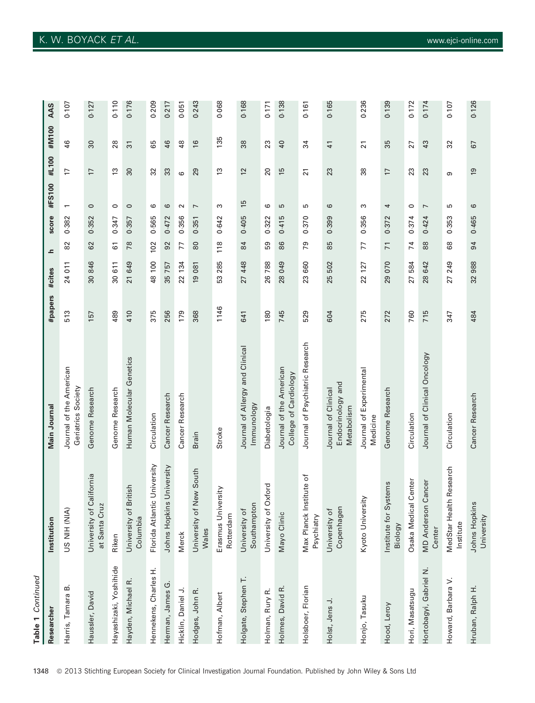| Table 1 Continued      |                                           |                                                        |         |           |                |       |                          |                 |                 |       |
|------------------------|-------------------------------------------|--------------------------------------------------------|---------|-----------|----------------|-------|--------------------------|-----------------|-----------------|-------|
| Researche              | Institution                               | Main Journal                                           | #papers | #cites    | ᇰ              | score | #FS100                   | #L100           | #M100           | AAS   |
| œ<br>Harris, Tamara    | US NIH (NIA)                              | Journal of the American<br>Geriatrics Society          | 513     | 24 011    | 82             | 0.382 | $\overline{\phantom{0}}$ | 17              | 46              | 0.107 |
| Haussler, David        | University of California<br>at Santa Cruz | Genome Research                                        | 157     | 30846     | 62             | 0.352 | $\circ$                  | $\overline{1}$  | 30              | 0.127 |
| Hayashizaki, Yoshihide | Riken                                     | Genome Research                                        | 489     | 30 611    | 51             | 0.347 | $\circ$                  | $\frac{3}{2}$   | 28              | 0.110 |
| Hayden, Michael R.     | University of British<br>Columbia         | Human Molecular Genetics                               | 410     | 21 649    | 78             | 0.357 | $\circ$                  | 30              | $\overline{3}$  | 0.176 |
| Hennekens, Charles H.  | Florida Atlantic University               | Circulation                                            | 375     | 48 100    | 102            | 0.565 | ဖ                        | 32              | 89              | 0.209 |
| Herman, James G.       | University<br>Johns Hopkins               | Cancer Research                                        | 256     | 35 757    | 92             | 0.472 | 6                        | 33              | 46              | 0.217 |
| Hicklin, Daniel J.     | Merck                                     | Cancer Research                                        | 179     | 22 134    | 77             | 0.356 | $\sim$                   | $\circ$         | $48$            | 0.051 |
| Hodges, John R.        | ew South<br>University of N<br>Wales      | <b>Brain</b>                                           | 368     | 19 081    | 80             | 0.351 | $\overline{ }$           | 29              | $\frac{6}{2}$   | 0.243 |
| Hofman, Albert         | Erasmus University<br>Rotterdam           | Stroke                                                 | 1146    | 53 285    | 118            | 0.642 | S                        | $\frac{3}{2}$   | 135             | 0.068 |
| Holgate, Stephen T.    | Southampton<br>University of              | Journal of Allergy and Clinical<br>lmmunology          | 641     | 448<br>27 | 84             | 0.405 | 15                       | 12              | 38              | 0.168 |
| Holman, Rury R.        | <b>xford</b><br>University of O           | Diabetologia                                           | 180     | 26 788    | 59             | 0.322 | ဖ                        | $\overline{20}$ | 23              | 0.171 |
| Holmes, David R.       | Mayo Clinic                               | Journal of the American<br>College of Cardiology       | 745     | 049<br>28 | 86             | 0.415 | 5                        | 15              | $\overline{a}$  | 0.138 |
| Holsboer, Florian      | Max Planck Institute of<br>Psychiatry     | Journal of Psychiatric Research                        | 529     | 660<br>23 | 79             | 0.370 | ъ                        | $\overline{2}$  | 34              | 0.161 |
| Holst, Jens J.         | Copenhagen<br>University of               | Endocrinology and<br>Journal of Clinical<br>Metabolism | 604     | 25 502    | 85             | 0.399 | ဖ                        | 23              | $\frac{4}{1}$   | 0.165 |
| Honjo, Tasuku          | Kyoto University                          | Journal of Experimental<br>Medicine                    | 275     | 22 127    | 77             | 0.356 | S                        | 38              | $\overline{21}$ | 0.236 |
| Hood, Leroy            | Institute for Systems<br><b>Biology</b>   | Genome Research                                        | 272     | 29 070    | $\overline{7}$ | 0.372 | 4                        | 17              | 35              | 0.139 |
| Hori, Masatsugu        | Center<br>Osaka Medical                   | Circulation                                            | 760     | 27 584    | 74             | 0.374 | $\circ$                  | 23              | 27              | 0.172 |
| Hortobagyi, Gabriel N. | Cancer<br><b>MD</b> Anderson<br>Center    | Journal of Clinical Oncology                           | 715     | 642<br>28 | $88$           | 0.424 | $\overline{ }$           | 23              | 43              | 0.174 |
| Howard, Barbara V.     | MedStar Health Research<br>Institute      | Circulation                                            | 347     | 27 249    | 89             | 0.353 | 5                        | ω               | 32              | 0.107 |
| Hruban, Ralph H.       | Johns Hopkins<br>University               | Cancer Research                                        | 484     | 32 988    | 94             | 0.465 | $\circ$                  | $\overline{9}$  | 67              | 0.126 |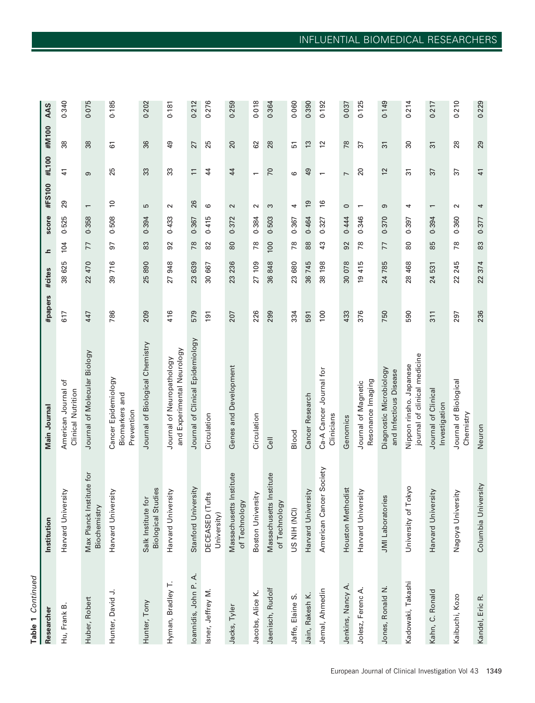Table 1 Continued Table 1 Continued

 $\mathbf{r}$ 

 $\overline{\phantom{a}}$ 

 $\overline{10}$ 

 $\overline{10}$ 

 $\sim$ 

 $\sim$   $\sim$ 

|                       |                                                      | Main Journal                                            | #papers       | #cites    | ᇰ   | score | #FS100                   | #L100                    | #M100           | AAS   |
|-----------------------|------------------------------------------------------|---------------------------------------------------------|---------------|-----------|-----|-------|--------------------------|--------------------------|-----------------|-------|
| Hu, Frank B.          | Harvard University                                   | American Journal of<br>Clinical Nutrition               | 617           | 38 625    | 104 | 0.525 | 29                       | $\frac{1}{4}$            | 38              | 0.340 |
| Huber, Robert         | stitute for<br>Max Planck In<br>Biochemistry         | Journal of Molecular Biology                            | 447           | 22 470    | 77  | 0.358 | $\overline{\phantom{0}}$ | ၜ                        | 38              | 0.075 |
| Hunter, David J.      | Harvard University                                   | Cancer Epidemiology<br>Biomarkers and<br>Prevention     | 786           | 39 716    | 5   | 0.508 | $\approx$                | 25                       | $\overline{6}$  | 0.185 |
| Hunter, Tony          | udies<br>Salk Institute for<br><b>Biological Str</b> | Journal of Biological Chemistry                         | 209           | 25890     | 83  | 0.394 | 5                        | 33                       | 36              | 0.202 |
| Hyman, Bradley T.     | Harvard University                                   | and Experimental Neurology<br>Journal of Neuropathology | 416           | 948<br>27 | 92  | 0.433 | $\sim$                   | 33                       | QÞ              | 0.181 |
| loannidis, John P. A. | ersity<br>Stanford Univ                              | Journal of Clinical Epidemiology                        | 579           | 23 639    | 78  | 0.367 | 26                       | $\overline{\phantom{a}}$ | 27              | 0.212 |
| Isner, Jeffrey M.     | ufts<br>DECEASED (T<br>University)                   | Circulation                                             | 191           | 30 667    | 82  | 0.415 | ဖ                        | 44                       | 25              | 0.276 |
| Jacks, Tyler          | Massachusetts Institute<br>of Technology             | Genes and Development                                   | 207           | 236<br>23 | 80  | 0.372 | $\sim$                   | 44                       | 20              | 0.259 |
| Jacobs, Alice K.      | Boston University                                    | Circulation                                             | 226           | 27 109    | 78  | 0.384 | $\sim$                   | $\overline{\phantom{0}}$ | 62              | 0.018 |
| Jaenisch, Rudolf      | Massachusetts Institute<br>of Technology             | الة<br>O                                                | 299           | 36848     | 100 | 0.503 | S                        | 70                       | 28              | 0.36  |
| Jaffe, Elaine S.      | US NIH (NCI)                                         | Blood                                                   | 334           | 23 680    | 78  | 0.367 | 4                        | 6                        | 51              | 0.060 |
| Jain, Rakesh K.       | Harvard University                                   | Cancer Research                                         | 591           | 36 745    | 88  | 0.464 | $\overline{5}$           | $\overline{6}$           | $\frac{3}{2}$   | 0.390 |
| Jemal, Ahmedin        | American Cancer Society                              | Ca-A Cancer Journal for<br>Clinicians                   | 100           | 198<br>38 | 43  | 0.327 | $\frac{6}{2}$            | $\overline{\phantom{0}}$ | $\overline{12}$ | 0.192 |
| Jenkins, Nancy A.     | <b>nodist</b><br>Houston Meth                        | Genomics                                                | 433           | 30 078    | 92  | 0.444 | $\circ$                  | $\overline{ }$           | 78              | 0.037 |
| Jolesz, Ferenc A.     | Harvard University                                   | Resonance Imaging<br>Journal of Magnetic                | 376           | 415<br>61 | 78  | 0.346 | $\overline{\phantom{0}}$ | 20                       | 37              | 0.125 |
| Jones, Ronald N.      | JMI Laboratories                                     | Diagnostic Microbiology<br>and Infectious Disease       | 750           | 24785     | 77  | 0.370 | ၜ                        | 12                       | $\overline{3}$  | 0.149 |
| Kadowaki, Takashi     | Tokyo<br>University of                               | journal of clinical medicine<br>Nippon rinsho. Japanese | 590           | 28 468    | 80  | 0.397 | 4                        | $\overline{3}$           | $\overline{30}$ | 0.214 |
| Kahn, C. Ronald       | Harvard University                                   | Journal of Clinical<br>Investigation                    | $\frac{1}{3}$ | 24 531    | 85  | 0.394 | $\overline{\phantom{0}}$ | 57                       | 51              | 0.217 |
| Kaibuchi, Kozo        | Nagoya University                                    | Journal of Biological<br>Chemistry                      | 297           | 22 245    | 78  | 0.360 | $\sim$                   | 57                       | 28              | 0.210 |
| Kandel, Eric R.       | Columbia University                                  | Neuron                                                  | 236           | 374<br>22 | 83  | 0.377 | 4                        | $\overline{4}$           | 29              | 0.229 |

 $\sim$ 

 $\sim$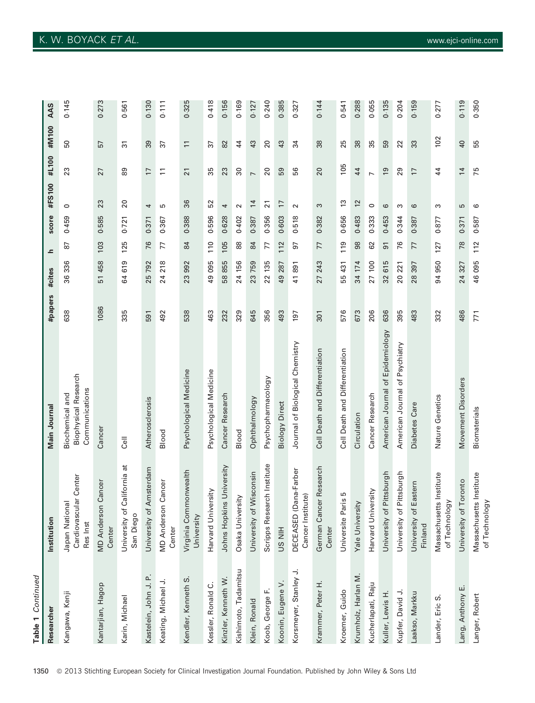| Table 1 Continued<br>Researcher | Institution                                         |                                                                  |         |           | ᇰ              |       | #FS100          | #L100           | #M100                    | AAS |
|---------------------------------|-----------------------------------------------------|------------------------------------------------------------------|---------|-----------|----------------|-------|-----------------|-----------------|--------------------------|-----|
|                                 |                                                     | Main Journal                                                     | #papers | #cites    |                | score |                 |                 |                          |     |
| Kangawa, Kenji                  | Japan National<br>Cardiovascular Center<br>Res Inst | <b>Biophysical Research</b><br>Communications<br>Biochemical and | 638     | 36 336    | 67             | 0.459 | 0               | 23              | 50                       |     |
| Kantarjian, Hagop               | Cancer<br><b>MD</b> Anderson<br>Center              | Cance                                                            | 1086    | 51 458    | 103            | 0.585 | 23              | 27              | 57                       |     |
| Karin, Michael                  | California at<br>University of<br>San Diego         | <b>Cell</b>                                                      | 335     | 64619     | 125            | 0.721 | 20              | 89              | $\overline{3}$           |     |
| Kastelein, John J. P.           | University of Amsterdam                             | Atherosclerosis                                                  | 591     | 25 792    | 76             | 0.371 | 4               | $\overline{1}$  | 39                       |     |
| Keating, Michael J.             | Cancer<br><b>MD Anderson</b><br>Center              | Blood                                                            | 492     | 24 218    | 77             | 0.367 | 5               | $\Xi$           | 37                       |     |
| Kendler, Kenneth S.             | Virginia Commonwealth<br>University                 | Psychological Medicine                                           | 538     | 23 992    | 84             | 0.388 | 36              | $\overline{21}$ | $\overline{\phantom{0}}$ |     |
| Kessler, Ronald C.              | Harvard University                                  | Psychological Medicine                                           | 463     | 49 095    | $\frac{0}{10}$ | 0.596 | 52              | 35              | 37                       |     |
| Kinzler, Kenneth W.             | Johns Hopkins University                            | Cancer Research                                                  | 232     | 58855     | 105            | 0.628 | 4               | 23              | 82                       |     |
| Kishimoto, Tadamitsu            | Osaka University                                    | Blood                                                            | 329     | 24 156    | 88             | 0.402 | $\sim$          | $\overline{30}$ | 44                       |     |
| Klein, Ronald                   | Wisconsin<br>University of                          | Ophthalmology                                                    | 645     | 23759     | 84             | 0.387 | $\overline{1}$  | $\overline{a}$  | 43                       |     |
| Koob, George F.                 | Scripps Research Institute                          | Psychopharmacology                                               | 356     | 22 135    | 77             | 0.356 | $\overline{21}$ | 20              | 20                       |     |
| Koonin, Eugene V.               | <b>HIN SU</b>                                       | <b>Biology Direct</b>                                            | 493     | 49 287    | 112            | 0.603 | $\overline{17}$ | 59              | 43                       |     |
| Korsmeyer, Stanley J.           | DECEASED (Dana-Farber<br>Cancer Institute)          | Journal of Biological Chemistry                                  | 197     | 41891     | 5              | 0.518 | $\sim$          | 56              | $\overline{3}$           |     |
| Krammer, Peter H                | German Cancer Research<br>Center                    | Cell Death and Differentiation                                   | 301     | 243<br>27 | 77             | 0.382 | S               | 20              | 38                       |     |
| Kroemer, Guido                  | Б<br>Universite Paris                               | Cell Death and Differentiation                                   | 576     | 55 431    | 119            | 0.656 | $\frac{3}{2}$   | 105             | 25                       |     |
| Krumholz, Harlan M.             | Yale University                                     | Circulation                                                      | 673     | 34 174    | 98             | 0.483 | 12              | 44              | 38                       |     |
| Kucherlapati, Raju              | Harvard University                                  | Cancer Research                                                  | 206     | 27 100    | 62             | 0.333 | $\circ$         | $\overline{ }$  | 35                       |     |
| Kuller, Lewis H.                | Pittsburgh<br>University of                         | American Journal of Epidemiology                                 | 636     | 615<br>32 | $\overline{5}$ | 0.453 | $\circ$         | $\overline{9}$  | 59                       |     |
| Kupfer, David J.                | Pittsburgh<br>University of                         | American Journal of Psychiatry                                   | 395     | 20 221    | 76             | 0.344 | S               | 29              | 22                       |     |
| Laakso, Markku                  | Eastern<br>University of<br>Finland                 | Diabetes Care                                                    | 483     | 28 397    | 77             | 0.387 | 6               | $\overline{1}$  | 33                       |     |
| Lander, Eric S.                 | Massachusetts Institute<br>of Technology            | Nature Genetics                                                  | 332     | 94 950    | 127            | 0.877 | ω               | 44              | 102                      |     |

 $0.119$ 0.350

 $\overline{Q}$ 55

 $\overline{1}$ 75

 $\overline{c}$  $\circ$ 

0.371 0.587

78  $112$ 

46095 24 327

 $0.277$ 

Lang, Anthony E. University of Toronto Movement Disorders 486 24 327 78 0371 5 14 40 0.119 Langer, Robert Massachusetts Institute Biomaterials 771 46 095 112 0-587 6 75 55 0-580

Movement Disorders

**Biomaterials** 

486 771

of Technology

of Technology

Massachusetts Institute University of Toronto

Lang, Anthony E. Langer, Robert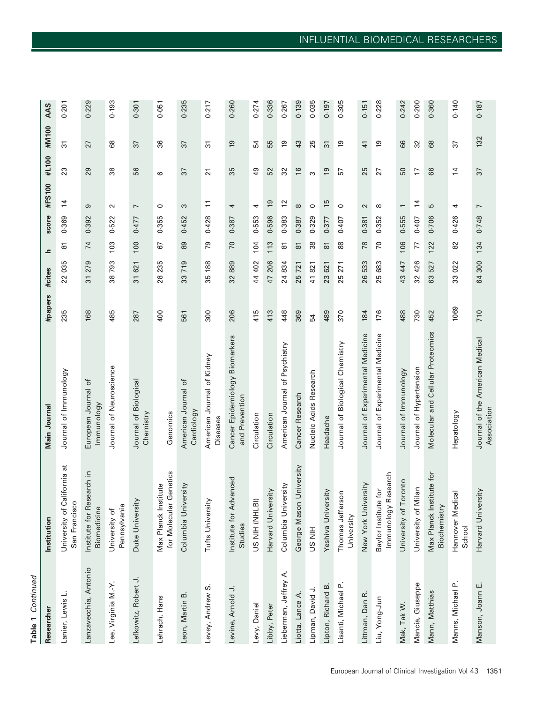| ŕ      |  |
|--------|--|
| ۰<br>٠ |  |
| ì      |  |
|        |  |

| Researcher            | Institution                                       | Main Journal                                     | #papers | #cites                | ᇰ                   | score | #FS100                   | #L100           | #M100          | AAS   |
|-----------------------|---------------------------------------------------|--------------------------------------------------|---------|-----------------------|---------------------|-------|--------------------------|-----------------|----------------|-------|
| Lanier, Lewis L.      | University of California at<br>San Francisco      | Journal of Immunology                            | 235     | 22 035                | $\overline{\circ}$  | 0.369 | $\overline{1}$           | 23              | $\overline{3}$ | 0.201 |
| Lanzavecchia, Antonio | Institute for Research in<br>Biomedicine          | European Journal of<br>lmmunology                | 168     | 31279                 | 74                  | 0.392 | ၜ                        | 29              | 27             | 0.229 |
| Lee, Virginia M.-Y.   | Pennsylvania<br>University of                     | Journal of Neuroscience                          | 485     | 38793                 | 103                 | 0.522 | $\sim$                   | ္က              | 89             | 0.193 |
| Lefkowitz, Robert J.  | Duke University                                   | Journal of Biological<br>Chemistry               | 287     | 31621                 | 100                 | 0.477 | $\overline{ }$           | 99              | 37             | 0.301 |
| Lehrach, Hans         | Genetics<br>Max Planck Institute<br>for Molecular | Genomics                                         | 400     | 235<br>28             | 67                  | 0.355 | $\circ$                  | ဖ               | 36             | 0.051 |
| Leon, Martin B.       | Columbia University                               | American Journal of<br>Cardiology                | 561     | 719<br>33             | 89                  | 0.452 | S                        | 37              | 37             | 0.235 |
| Levey, Andrew S.      | Tufts University                                  | American Journal of Kidney<br>Diseases           | 300     | 35 188                | 79                  | 0.428 | $\Xi$                    | $\overline{21}$ | $\overline{3}$ | 0.217 |
| Levine, Arnold J.     | Institute for Advanced<br>Studies                 | Cancer Epidemiology Biomarkers<br>and Prevention | 206     | 889<br>32             | 70                  | 0.387 | 4                        | 35              | $\overline{9}$ | 0.260 |
| Levy, Daniel          | US NIH (NHLBI)                                    | Circulation                                      | 415     | 44 402                | 104                 | 0.553 | 4                        | $\overline{49}$ | 54             | 0.274 |
| Libby, Peter          | Harvard University                                | Circulation                                      | 413     | 206<br>47             | 113                 | 0.596 | <u>9</u>                 | 52              | 55             | 0.336 |
| Lieberman, Jeffrey A. | Columbia University                               | American Journal of Psychiatry                   | 448     | 24 834                | 50                  | 0.383 | $\overline{c}$           | 32              | $\overline{9}$ | 0.267 |
| Liotta, Lance A.      | University<br>George Mason                        | Cancer Research                                  | 369     | 25721                 | $\overline{\infty}$ | 0.387 | $\infty$                 | $\frac{6}{2}$   | 43             | 0.139 |
| Lipman, David J.      | <b>HIN SN</b>                                     | Nucleic Acids Research                           | 54      | 821<br>$\overline{4}$ | 38                  | 0.329 | $\circ$                  | S               | 25             | 0.035 |
| Lipton, Richard B.    | rsity<br>Yeshiva Univer                           | Headache                                         | 489     | 621<br>23             | $\overline{8}$      | 0.377 | 15                       | $\overline{5}$  | $\overline{3}$ | 0.197 |
| Lisanti, Michael P.   | Thomas Jefferson<br>University                    | Journal of Biological Chemistry                  | 370     | 271<br>25             | 88                  | 0.407 | $\circ$                  | 57              | ၣ              | 0.305 |
| Littman, Dan R.       | New York University                               | Journal of Experimental Medicine                 | 184     | 26533                 | 78                  | 0.381 | $\sim$                   | 25              | $\overline{4}$ | 0.151 |
| Liu, Yong-Jun         | Research<br>Baylor Institute for<br>Immunology    | Journal of Experimental Medicine                 | 176     | 25 683                | 70                  | 0.352 | $\infty$                 | 27              | $\overline{6}$ | 0.228 |
| Mak, Tak W.           | University of Toronto                             | Journal of Immunology                            | 488     | 43 447                | 106                 | 0.555 | $\overline{\phantom{0}}$ | 50              | 66             | 0.242 |
| Mancia, Giuseppe      | University of Milan                               | Journal of Hypertension                          | 730     | 32 426                | 77                  | 0.407 | $\overline{4}$           | $\overline{1}$  | 32             | 0.200 |
| Mann, Matthias        | Max Planck Institute for<br>Biochemistry          | Molecular and Cellular Proteomics                | 452     | 527<br>63             | 122                 | 0.706 | 5                        | 86              | 68             | 0.360 |
| Manns, Michael P.     | Hannover Medical<br>School                        | Hepatology                                       | 1069    | 022<br>33             | 82                  | 0.426 | 4                        | $\overline{1}$  | 57             | 0.140 |
| Manson, Joann E.      | Harvard University                                | Journal of the American Medical<br>Association   | 710     | 64 300                | 134                 | 0.748 | $\overline{ }$           | 37              | 132            | 0.187 |
|                       |                                                   |                                                  |         |                       |                     |       |                          |                 |                |       |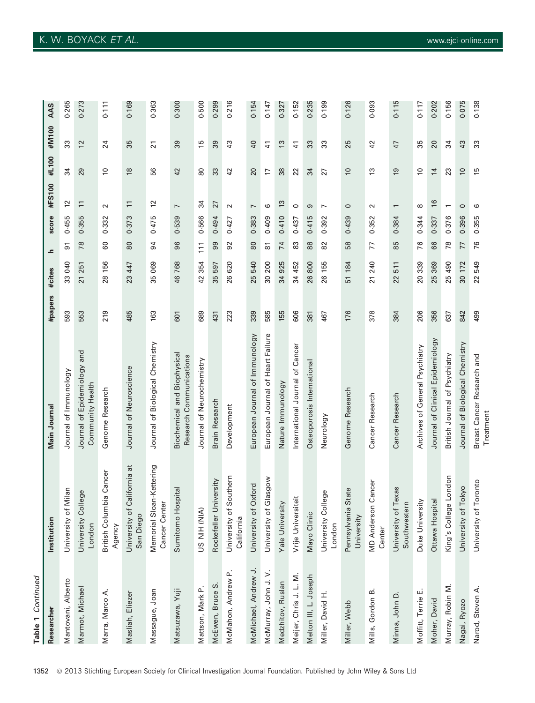| Table 1 Continued      |                                                      |                                                        |         |           |                     |       |                          |                |                |       |
|------------------------|------------------------------------------------------|--------------------------------------------------------|---------|-----------|---------------------|-------|--------------------------|----------------|----------------|-------|
| Researche              | Institution                                          | Main Journal                                           | #papers | #cites    | ᇰ                   | score | #FS100                   | #L100          | #M100          | AAS   |
| Mantovani, Alberto     | Milan<br>University of                               | Journal of Immunology                                  | 593     | 33040     | 5                   | 0.455 | 2                        | 34             | 33             | 0.265 |
| Marmot, Michael        | University College<br>London                         | Journal of Epidemiology and<br>Community Health        | 553     | 21 251    | 78                  | 0.355 | $\equiv$                 | 29             | $\overline{c}$ | 0.273 |
| Marra, Marco A.        | British Columbia Cancer<br>Agency                    | Genome Research                                        | 219     | 28 156    | 80                  | 0.332 | $\sim$                   | $\approx$      | $^{24}$        | 0.111 |
| Masliah, Eliezer       | đ<br>California<br>University of<br>San Diego        | Journal of Neuroscience                                | 485     | 23 447    | 80                  | 0.373 | $\Xi$                    | $\frac{8}{2}$  | 35             | 0.169 |
| Massague, Joan         | Memorial Sloan-Kettering<br>Cancer Center            | Biological Chemistry<br>Journal of                     | 163     | 069<br>35 | 94                  | 0.475 | $\overline{c}$           | 99             | 21             | 0.363 |
| Matsuzawa, Yuji        | Sumitomo Hospital                                    | Biochemical and Biophysical<br>Research Communications | 601     | 46768     | 96                  | 0.539 | $\overline{ }$           | 42             | 89             | 0.300 |
| Mattson, Mark P.       | US NIH (NIA)                                         | Journal of Neurochemistry                              | 689     | 354<br>42 | $\overline{11}$     | 0.566 | 34                       | 80             | 15             | 0.500 |
| McEwen, Bruce S.       | Rockefeller University                               | Brain Research                                         | 431     | 597<br>35 | 99                  | 0.494 | 27                       | 33             | జి             | 0.299 |
| McMahon, Andrew P.     | University of Southern<br>California                 | Development                                            | 223     | 620<br>26 | 92                  | 0.427 | $\sim$                   | 42             | 43             | 0.216 |
| McMichael, Andrew J.   | Oxford<br>University of                              | European Journal of Immunology                         | 339     | 540<br>25 | 80                  | 0.383 | $\overline{ }$           | 20             | ¥              | 0.154 |
| McMurray, John J. V.   | University of Glasgow                                | European Journal of Heart Failure                      | 585     | 200<br>30 | $\overline{\infty}$ | 0.409 | 6                        | $\overline{1}$ | $\overline{4}$ | 0.147 |
| Medzhitov, Ruslan      | <b>Yale University</b>                               | Nature Immunology                                      | 155     | 34 925    | 74                  | 0.410 | $\frac{1}{2}$            | 38             | 13             | 0.327 |
| Meijer, Chris J. L. M. | ä<br>Vrije Universit                                 | International Journal of Cancer                        | 606     | 452<br>34 | 83                  | 0.437 | $\circ$                  | 22             | $\overline{4}$ | 0.152 |
| Melton III, L. Joseph  | Mayo Clinic                                          | Osteoporosis International                             | 381     | 26 800    | 88                  | 0.415 | თ                        | 34             | 33             | 0.235 |
| Miller, David H.       | University College<br>London                         | Neurology                                              | 467     | 155<br>26 | 82                  | 0.392 | $\overline{ }$           | 27             | 33             | 0.199 |
| Miller, Webb           | State<br>Pennsylvania<br>University                  | Genome Research                                        | 176     | 184<br>51 | 58                  | 0.439 | $\circ$                  | $\overline{C}$ | 25             | 0.126 |
| Mills, Gordon B.       | Cancer<br><b>MD Anderson</b><br>Center               | Cancer Research                                        | 378     | 240<br>21 | 77                  | 0.352 | $\sim$                   | $\frac{3}{2}$  | $\overline{4}$ | 0.093 |
| Minna, John D.         | Jniversity of Texas<br>Southwestern<br>University of | Cancer Research                                        | 384     | 511<br>22 | 85                  | 0.384 | $\overline{\phantom{0}}$ | $\overline{9}$ | 47             | 0.115 |
| ய்<br>Moffitt, Terrie  | Duke University                                      | Archives of General Psychiatry                         | 206     | 20 339    | 76                  | 0.344 | $\infty$                 | $\approx$      | ఘ్             | 0.117 |
| Moher, David           | Ottawa Hospital                                      | Journal of Clinical Epidemiology                       | 356     | 369<br>25 | 89                  | 0.337 | $\frac{1}{6}$            | $\overline{1}$ | 20             | 0.202 |
| Murray, Robin M.       | King's College London                                | British Journal of Psychiatry                          | 637     | 490<br>25 | 78                  | 0.376 | $\overline{\phantom{0}}$ | 23             | 34             | 0.156 |
| Nagai, Ryozo           | University of Tokyo                                  | Journal of Biological Chemistry                        | 842     | 30 172    | 77                  | 0.396 | $\circ$                  | $\approx$      | 43             | 0.075 |
| Narod, Steven A.       | Toronto<br>University of                             | Breast Cancer Research and<br>Treatment                | 499     | 549<br>22 | 76                  | 0.355 | ဖ                        | 15             | ౢ              | 0.138 |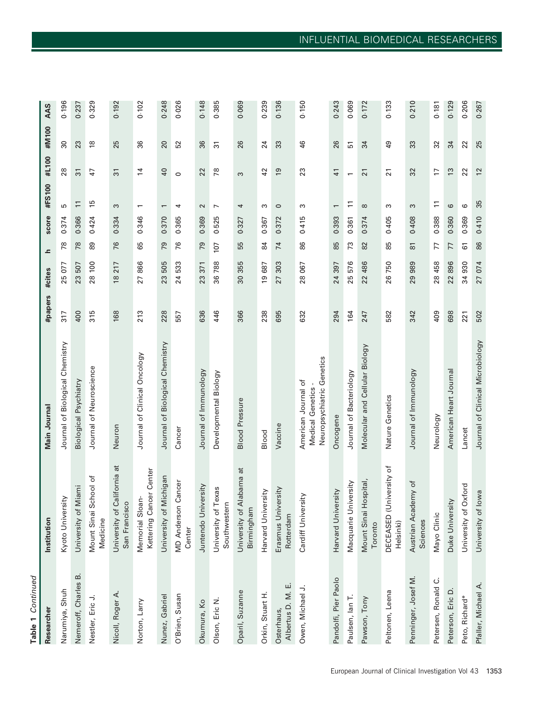| ı |  |
|---|--|
| ٠ |  |
|   |  |
|   |  |
|   |  |

| Researcher                      | Institution                                  | Main Journal                                                         | #papers | #cites                 | ᇰ              | score | #FS100                   | #L100           | #M100           | AAS   |
|---------------------------------|----------------------------------------------|----------------------------------------------------------------------|---------|------------------------|----------------|-------|--------------------------|-----------------|-----------------|-------|
| Narumiya, Shuh                  | Kyoto University                             | Journal of Biological Chemistry                                      | 317     | 25 077                 | 78             | 0.374 | 5                        | 28              | 30              | 0.196 |
| Nemeroff, Charles B.            | University of Miami                          | Biological Psychiatry                                                | 400     | 23 507                 | 78             | 0.366 | $\Xi$                    | $\overline{3}$  | 23              | 0.237 |
| Nestler, Eric J.                | Mount Sinai School of<br>Medicine            | Journal of Neuroscience                                              | 315     | $\overline{100}$<br>28 | 89             | 0.424 | 15                       | 47              | $\frac{8}{1}$   | 0.329 |
| Nicoll, Roger A.                | University of California at<br>San Francisco | Neuron                                                               | 168     | 217<br>$\frac{8}{2}$   | 76             | 0.334 | S                        | స్              | 25              | 0.192 |
| Norton, Larry                   | Kettering Cancer Center<br>Memorial Sloan-   | Journal of Clinical Oncology                                         | 213     | 866<br>27              | 89             | 0.346 | $\overline{\phantom{0}}$ | $\overline{4}$  | 36              | 0.102 |
| Nunez, Gabriel                  | University of Michigan                       | Journal of Biological Chemistry                                      | 228     | 23505                  | 79             | 0.370 | $\overline{ }$           | $\overline{a}$  | 20              | 0.248 |
| O'Brien, Susan                  | <b>MD Anderson Cancer</b><br>Center          | Cancer                                                               | 557     | 533<br>24              | 76             | 0.365 | 4                        | $\circ$         | 52              | 0.026 |
| Okumura, Ko                     | Juntendo University                          | Journal of Immunology                                                | 636     | 371<br>23              | 79             | 0.369 | $\sim$                   | 22              | 36              | 0.148 |
| Olson, Eric N.                  | exas<br>University of T<br>Southwestern      | Developmental Biology                                                | 446     | 36788                  | 107            | 0.525 | $\overline{ }$           | $\frac{8}{2}$   | $\overline{3}$  | 0.385 |
| Oparil, Suzanne                 | đ<br>University of Alabama<br>Birmingham     | <b>Blood Pressure</b>                                                | 366     | 30 355                 | 55             | 0.327 | 4                        | S               | 26              | 0.069 |
| Orkin, Stuart H.                | rsity<br>Harvard Univer                      | Blood                                                                | 238     | 19687                  | 84             | 0.367 | S                        | 42              | 24              | 0.239 |
| Albertus D. M. E.<br>Osterhaus, | Erasmus University<br>Rotterdam              | Vaccine                                                              | 695     | 303<br>27              | $\overline{7}$ | 0.372 | $\circ$                  | <u>61</u>       | 33              | 0.136 |
| Owen, Michael J.                | Cardiff University                           | Neuropsychiatric Genetics<br>American Journal of<br>Medical Genetics | 632     | 28 067                 | 86             | 0.415 | S                        | 23              | 46              | 0.150 |
| Pandolfi, Pier Paolo            | Harvard University                           | Oncogene                                                             | 294     | 24 397                 | 85             | 0.393 | $\overline{\phantom{m}}$ | 41              | 26              | 0.243 |
| Paulsen, lan T.                 | Macquarie University                         | Journal of Bacteriology                                              | 164     | 25 576                 | 73             | 0.361 | $\Xi$                    |                 | 51              | 0.069 |
| Pawson, Tony                    | Mount Sinai Hospital,<br>Toronto             | Molecular and Cellular Biology                                       | 247     | 486<br>22              | 82             | 0.374 | $\infty$                 | $\overline{21}$ | 34              | 0.172 |
| Peltonen, Leena                 | DECEASED (University of<br>Helsinki)         | Nature Genetics                                                      | 582     | 26 750                 | 85             | 0.405 | ω                        | $\overline{21}$ | $\overline{49}$ | 0.133 |
| Penninger, Josef M.             | Austrian Academy of<br>Sciences              | Journal of Immunology                                                | 342     | 29 989                 | 8              | 0.408 | ω                        | ೫               | 33              | 0.210 |
| Petersen, Ronald C.             | Mayo Clinic                                  | Neurology                                                            | 409     | 28 458                 | 77             | 0.388 | $\overline{1}$           | 17              | 32              | 0.181 |
| Peterson, Eric D                | Duke University                              | American Heart Journal                                               | 698     | 896<br>22              | 77             | 0.360 | 6                        | $\tilde{c}$     | 34              | 0.129 |
| Peto, Richard*                  | University of Oxford                         | Lancet                                                               | 221     | 34 930                 | 61             | 0.369 | 6                        | 22              | 22              | 0.206 |
| Pfaller, Michael A.             | University of lowa                           | Journal of Clinical Microbiology                                     | 502     | 27 074                 | 86             | 0.410 | 35                       | $\overline{c}$  | 25              | 0.267 |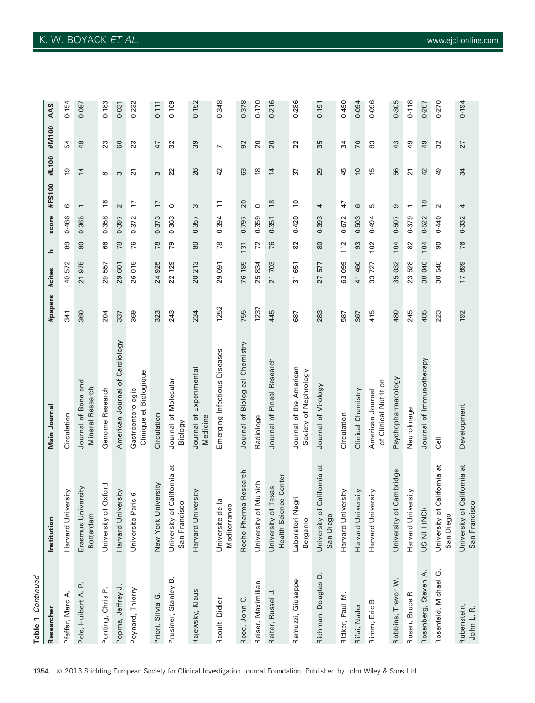| Table 1 Continued         |                                                        |                                                  |         |           |      |       |                          |                 |                 |       |
|---------------------------|--------------------------------------------------------|--------------------------------------------------|---------|-----------|------|-------|--------------------------|-----------------|-----------------|-------|
| Researche                 | Institution                                            | Main Journal                                     | #papers | #cites    | ᇰ    | score | #FS100                   | #L100           | #M100           | AAS   |
| Pfeffer, Marc A.          | Harvard University                                     | Circulation                                      | 341     | 40 572    | 89   | 0.486 | ဖ                        | $\overline{9}$  | 54              | 0.154 |
| Pols, Huibert A. P.       | ersity<br>Erasmus Univ<br>Rotterdam                    | Journal of Bone and<br>Mineral Research          | 360     | 21975     | $80$ | 0.365 | $\overline{ }$           | $\overline{1}$  | 48              | 0.087 |
| Ponting, Chris P.         | University of Oxford                                   | Genome Research                                  | 204     | 557<br>29 | 89   | 0.358 | $\frac{6}{2}$            | $\infty$        | 23              | 0.183 |
| Popma, Jeffrey J.         | Harvard University                                     | American Journal of Cardiology                   | 337     | 29 601    | 78   | 0.397 | $\sim$                   | S               | 60              | 0.031 |
| Poynard, Thierry          | Universite Paris 6                                     | Clinique et Biologique<br>Gastroenterologie      | 369     | 015<br>26 | 76   | 0.372 | 17                       | $\overline{2}$  | 23              | 0.232 |
| Priori, Silvia G.         | New York University                                    | Circulation                                      | 323     | 24 925    | 78   | 0.373 | $\overline{17}$          | 3               | 47              | 0.111 |
| Prusiner, Stanley B.      | University of California at<br>San Francisco           | Journal of Molecular<br>Biology                  | 243     | 22 129    | 54   | 0.363 | ဖ                        | 22              | 32              | 0.169 |
| Rajewsky, Klaus           | Harvard University                                     | Journal of Experimental<br>Medicine              | 234     | 20 213    | 80   | 0.357 | S                        | 26              | 39              | 0.152 |
| Raoult, Didier            | $\overline{a}$<br>Mediterranee<br>Universite de        | Emerging Infectious Diseases                     | 1252    | 29 091    | 78   | 0.394 | $\Xi$                    | 42              | $\overline{ }$  | 0.348 |
| Reed, John C.             | Roche Pharma Research                                  | Journal of Biological Chemistry                  | 755     | 76 185    | 131  | 0.797 | 20                       | යි              | 92              | 0.378 |
| Reiser, Maximilian        | Munich<br>University of                                | Radiologe                                        | 1237    | 25834     | 72   | 0.359 | $\circ$                  | $\approx$       | 20              | 0.170 |
| Reiter, Russel J.         | <b>Health Science Center</b><br>Texas<br>University of | Journal of Pineal Research                       | 445     | 21 703    | 76   | 0.351 | $\frac{8}{2}$            | $\overline{1}$  | 20              | 0.216 |
| Remuzzi, Giuseppe         | Laboratori Negri<br>Bergamo                            | Journal of the American<br>Society of Nephrology | 687     | 31 651    | 82   | 0.420 | $\overline{0}$           | 57              | 22              | 0.286 |
| Richman, Douglas D.       | California at<br>University of<br>San Diego            | Journal of Virology                              | 283     | 27 577    | 80   | 0.393 | 4                        | 29              | 35              | 0.191 |
| Ridker, Paul M.           | Harvard University                                     | Circulation                                      | 587     | 63 099    | 112  | 0.672 | 47                       | 45              | 34              | 0.490 |
| Rifai, Nader              | Harvard University                                     | Clinical Chemistry                               | 367     | 41 460    | SS   | 0.503 | 6                        | $\approx$       | 70              | 0.094 |
| Rimm, Eric B              | Harvard University                                     | of Clinical Nutrition<br>American Journal        | 415     | 727<br>33 | 102  | 0.494 | 5                        | 15              | 83              | 0.096 |
| Robbins, Trevor W.        | University of Cambridge                                | Psychopharmacology                               | 480     | 35 032    | 104  | 0.507 | 9                        | 99              | 43              | 0.305 |
| Rosen, Bruce R.           | Harvard University                                     | Neurolmage                                       | 245     | 528<br>23 | 82   | 0.379 | $\overline{\phantom{m}}$ | $\overline{21}$ | $\overline{49}$ | 0.118 |
| Rosenberg, Steven A.      | US NIH (NCI)                                           | Journal of Immunotherapy                         | 485     | 38 040    | 104  | 0.522 | $\frac{8}{2}$            | 42              | 49              | 0.287 |
| Rosenfeld, Michael G.     | California at<br>University of<br>San Diego            | ا∎<br>ت                                          | 223     | 30 548    | ဓ    | 0.440 | $\sim$                   | $\overline{49}$ | 32              | 0.270 |
| Rubenstein,<br>John L. R. | University of California at<br>San Francisco           | Development                                      | 192     | 17899     | 76   | 0.332 | 4                        | 34              | 27              | 0.194 |

# K. W. BOYACK ET AL. www.ejci-online.com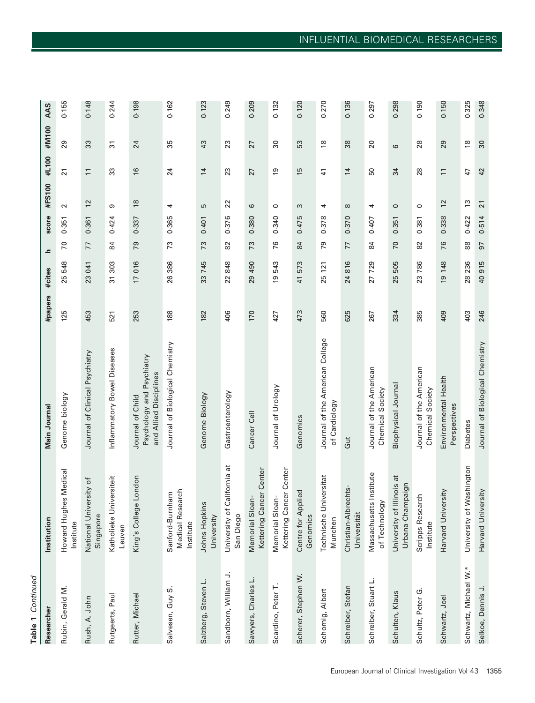| ť      |
|--------|
|        |
| ٠<br>۳ |
|        |
|        |
| r.     |
|        |

| Researcher                 | Institution                                      | Main Journal                                                            | #papers | #cites                | ᇰ  | score | #FS100          | #L100                    | #M100           | AAS   |
|----------------------------|--------------------------------------------------|-------------------------------------------------------------------------|---------|-----------------------|----|-------|-----------------|--------------------------|-----------------|-------|
| Rubin, Gerald M.           | Howard Hughes Medical<br>Institute               | Genome biology                                                          | 125     | 548<br>25             | 20 | 0.351 | $\sim$          | $\overline{21}$          | 29              | 0.155 |
| Rush, A. John              | National University of<br>Singapore              | Journal of Clinical Psychiatry                                          | 453     | 23 041                | 77 | 0.361 | 12              | $\overline{1}$           | 33              | 0.148 |
| Rutgeerts, Paul            | Katholieke Universiteit<br>Leuven                | Inflammatory Bowel Diseases                                             | 521     | 303<br>$\overline{3}$ | 84 | 0.424 | თ               | 33                       | $\overline{3}$  | 0.244 |
| Rutter, Michael            | King's College London                            | Psychology and Psychiatry<br>and Allied Disciplines<br>Journal of Child | 253     | 17 016                | 79 | 0.337 | $\frac{8}{2}$   | $\frac{6}{2}$            | 24              | 0.198 |
| Salvesen, Guy S.           | Medical Research<br>Sanford-Burnham<br>Institute | Journal of Biological Chemistry                                         | 188     | 26 386                | 73 | 0.365 | 4               | 24                       | 35              | 0.162 |
| Salzberg, Steven L.        | <b>Johns Hopkins</b><br>University               | Genome Biology                                                          | 182     | 33 745                | 73 | 0.401 | 5               | $\overline{1}$           | 43              | 0.123 |
| Sandborn, William J.       | California at<br>University of<br>San Diego      | Gastroenterology                                                        | 406     | 22848                 | 82 | 0.376 | 22              | 23                       | 23              | 0.249 |
| $\Box$<br>Sawyers, Charles | Kettering Cancer Center<br>Memorial Sloan-       | Cancer Cell                                                             | 170     | 29 490                | 73 | 0.380 | 6               | 27                       | 27              | 0.209 |
| Scardino, Peter T.         | Kettering Cancer Center<br>Memorial Sloan-       | Journal of Urology                                                      | 427     | 543<br><u>ღ</u>       | 76 | 0.340 | $\circ$         | $\overline{6}$           | 80              | 0.132 |
| Scherer, Stephen W.        | Centre for Applied<br>Genomics                   | Genomics                                                                | 473     | 41 573                | 84 | 0.475 | S               | 15                       | 53              | 0.120 |
| Schomig, Albert            | Technische Universitat<br>Munchen                | Journal of the American College<br>of Cardiology                        | 560     | 121<br>25             | 79 | 0.378 | 4               | $\frac{4}{1}$            | $\frac{8}{2}$   | 0.270 |
| Schreiber, Stefan          | Christian-Albrechts-<br>Universität              | Gut                                                                     | 625     | 24 816                | 77 | 0.370 | $\infty$        | $\overline{1}$           | 38              | 0.136 |
| Schreiber, Stuart L.       | Massachusetts Institute<br>of Technology         | Journal of the American<br>Chemical Society                             | 267     | 27 729                | 84 | 0.407 | 4               | 50                       | $\overline{20}$ | 0.297 |
| Schulten, Klaus            | University of Illinois at<br>Urbana-Champaign    | Biophysical Journal                                                     | 334     | 25 505                | 70 | 0.351 | $\circ$         | 34                       | $\circ$         | 0.298 |
| Schultz, Peter G.          | Scripps Research<br>Institute                    | Journal of the American<br>Chemical Society                             | 385     | 23 786                | 82 | 0.381 | $\circ$         | 28                       | 28              | 0.190 |
| Schwartz, Joel             | Harvard University                               | Environmental Health<br>Perspectives                                    | 409     | 19 148                | 76 | 0.338 | $\overline{c}$  | $\overline{\phantom{0}}$ | 29              | 0.150 |
| Schwartz, Michael W.*      | University of Washington                         | <b>Diabetes</b>                                                         | 403     | 28 236                | 88 | 0.422 | $\frac{1}{2}$   | 47                       | $\frac{8}{2}$   |       |
| Selkoe, Dennis J.          | Harvard University                               | Journal of Biological Chemistry                                         | 246     | 40915                 | 50 | 0.514 | $\overline{21}$ | 42                       | $\infty$        |       |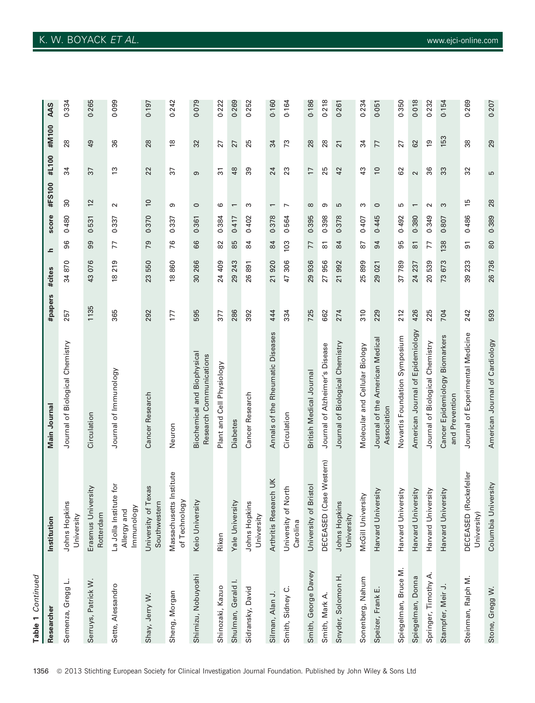| Table 1 Continued    |                                                     |                                                               |         |                       |                     |       |                 |                 |                       |       |
|----------------------|-----------------------------------------------------|---------------------------------------------------------------|---------|-----------------------|---------------------|-------|-----------------|-----------------|-----------------------|-------|
| Researcher           | Institution                                         | Main Journal                                                  | #papers | #cites                | ᇰ                   | score | #FS100          | #L100           | #M100                 | AAS   |
| ن<br>Semenza, Gregg  | Johns Hopkins<br>University                         | Journal of Biological Chemistry                               | 257     | 34870                 | 96                  | 0.480 | $\overline{30}$ | 34              | 28                    | 0.334 |
| Serruys, Patrick W.  | Erasmus University<br>Rotterdam                     | Circulation                                                   | 1135    | 43 076                | 99                  | 0.531 | 12              | $\overline{37}$ | 49                    | 0.265 |
| Sette, Alessandro    | La Jolla Institute for<br>Immunology<br>Allergy and | Journal of Immunology                                         | 365     | 219<br>$\frac{8}{10}$ | 77                  | 0.337 | $\sim$          | $\tilde{c}$     | 36                    | 0.099 |
| Shay, Jerry W.       | University of Texas<br>Southwestern                 | Cancer Research                                               | 292     | 23550                 | 54                  | 0.370 | $\approx$       | 22              | 28                    | 0.197 |
| Sheng, Morgan        | Massachusetts Institute<br>of Technology            | Neuron                                                        | 177     | 18860                 | 76                  | 0.337 | თ               | 57              | $\overset{\infty}{=}$ | 0.242 |
| Shimizu, Nobuyoshi   | Keio University                                     | <b>Biochemical and Biophysical</b><br>Research Communications | 595     | 30 266                | 89                  | 0.361 | $\circ$         | თ               | 32                    | 0.079 |
| Shinozaki, Kazuo     | Riken                                               | Plant and Cell Physiology                                     | 377     | 24 409                | 82                  | 0.384 | 6               | 57              | 27                    | 0.222 |
| Shulman, Gerald I.   | Yale University                                     | <b>Diabetes</b>                                               | 286     | 243<br>29             | 85                  | 0.417 | $\overline{ }$  | $\frac{8}{3}$   | 27                    | 0.269 |
| Sidransky, David     | Johns Hopkins<br>University                         | Cancer Research                                               | 392     | 891<br>26             | 84                  | 0.402 | S               | 89              | 25                    | 0.252 |
| Silman, Alan J.      | Arthritis Research UK                               | Annals of the Rheumatic Diseases                              | 444     | 21920                 | 84                  | 0.378 | $\overline{ }$  | 24              | 34                    | 0.160 |
| Smith, Sidney C.     | University of North<br>Carolina                     | Circulation                                                   | 334     | 306<br>47             | 103                 | 0.564 | $\overline{ }$  | 23              | 73                    | 0.164 |
| Smith, George Davey  | University of Bristol                               | British Medical Journal                                       | 725     | 29 936                | 77                  | 0.395 | $\infty$        | $\overline{1}$  | 28                    | 0.186 |
| Smith, Mark A.       | DECEASED (Case Western)                             | Journal of Alzheimer's Disease                                | 662     | 27 956                | $\overline{\infty}$ | 0.398 | თ               | 25              | 28                    | 0.218 |
| Snyder, Solomon H.   | <b>Johns Hopkins</b><br>University                  | Journal of Biological Chemistry                               | 274     | 21992                 | 84                  | 0.378 | 5               | 42              | $\overline{21}$       | 0.261 |
| Sonenberg, Nahum     | McGill University                                   | Molecular and Cellular Biology                                | 310     | 25899                 | 5                   | 0.407 | S               | 43              | 34                    | 0.234 |
| Speizer, Frank E.    | Harvard University                                  | Journal of the American Medical<br>Association                | 229     | 29 021                | 94                  | 0.445 | $\circ$         | $\overline{0}$  | 77                    | 0.051 |
| Spiegelman, Bruce M. | Harvard University                                  | Novartis Foundation Symposium                                 | 212     | 37 789                | 95                  | 0.492 | 5               | 8               | 27                    | 0.350 |
| Spiegelman, Donna    | Harvard University                                  | American Journal of Epidemiology                              | 426     | 24 237                | $\overline{\infty}$ | 0.380 | $\overline{ }$  | $\sim$          | 62                    | 0.018 |
| Springer, Timothy A. | Harvard University                                  | Journal of Biological Chemistry                               | 225     | 20539                 | 77                  | 0.349 | $\sim$          | 36              | $\overline{6}$        | 0.232 |
| Stampfer, Meir J.    | Harvard University                                  | Cancer Epidemiology Biomarkers<br>and Prevention              | 704     | 73 673                | 138                 | 0.807 | S               | 33              | 153                   | 0.154 |
| Steinman, Ralph M.   | DECEASED (Rockefeller<br>University)                | Journal of Experimental Medicine                              | 242     | 39 233                | 5                   | 0.486 | 15              | 32              | 38                    | 0.269 |
| Stone, Gregg W.      | Columbia University                                 | American Journal of Cardiology                                | 593     | 26 736                | 80                  | 0.389 | 28              | 5               | 29                    | 0.207 |

0.265

0.099

 $0.242$ 

 $0.197$ 

0.079

0.222 0.269 0.252 0.160 0.164 0.186 0.218

0.334

0.269

 $0.154$ 

0.207

0.350 0.018 0.232

0.234

0.051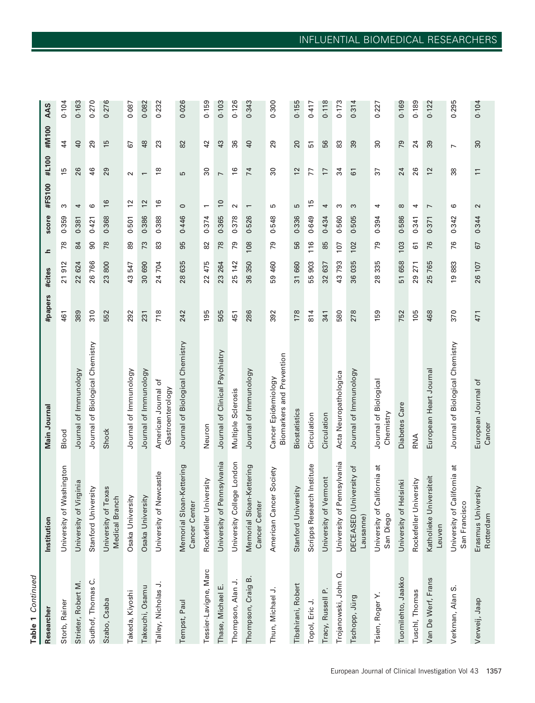| ŧ |  |
|---|--|
| ٠ |  |
|   |  |
|   |  |
|   |  |

| Researcher            | Institution                                      | Main Journal                                     | #papers | #cites    | اعد | score | #FS100                   | #L100                    | #M100                    | AAS   |
|-----------------------|--------------------------------------------------|--------------------------------------------------|---------|-----------|-----|-------|--------------------------|--------------------------|--------------------------|-------|
| Storb, Rainer         | Washington<br>University of                      | Blood                                            | 461     | 21912     | 78  | 0.359 | ω                        | 15                       | 44                       | 0.104 |
| Strieter, Robert M.   | University of Virginia                           | Journal of Immunology                            | 389     | 22 624    | 84  | 0.381 | 4                        | 26                       | $\overline{a}$           | 0.163 |
| Sudhof, Thomas C.     | Stanford University                              | Journal of Biological Chemistry                  | 310     | 26766     | 90  | 0.421 | 6                        | 46                       | 29                       | 0.270 |
| Szabo, Csaba          | University of Texas<br>Medical Branch            | Shock                                            | 552     | 800<br>23 | 78  | 0.368 | $\frac{6}{2}$            | 29                       | $\frac{5}{2}$            | 0.276 |
| Takeda, Kiyoshi       | Osaka University                                 | Journal of Immunology                            | 292     | 43547     | စ္ထ | 0.501 | $\tilde{c}$              | $\sim$                   | 67                       | 0.087 |
| Takeuchi, Osamu       | Osaka University                                 | Journal of Immunology                            | 231     | 30 690    | 73  | 0.386 | $\frac{2}{3}$            | $\overline{\phantom{0}}$ | 48                       | 0.082 |
| Talley, Nicholas J.   | University of Newcastle                          | American Journal of<br>Gastroenterology          | 718     | 24 704    | 83  | 0.388 | $\frac{6}{5}$            | $\frac{8}{1}$            | 23                       | 0.232 |
| Tempst, Paul          | Memorial Sloan-Kettering<br><b>Cancer Center</b> | Journal of Biological Chemistry                  | 242     | 28 635    | 95  | 0.446 | $\circ$                  | 5                        | 82                       | 0.026 |
| Tessier-Lavigne, Marc | Rockefeller University                           | Neuron                                           | 195     | 22 475    | 82  | 0.374 | $\overline{\phantom{0}}$ | 80                       | 42                       | 0.159 |
| Thase, Michael E.     | University of Pennsylvania                       | Journal of Clinical Psychiatry                   | 505     | 23 264    | 78  | 0.365 | $\approx$                | $\overline{a}$           | 43                       | 0.103 |
| Thompson, Alan J.     | University College London                        | Multiple Sclerosis                               | 451     | 25 142    | 79  | 0.378 | $\sim$                   | $\frac{8}{1}$            | 36                       | 0.126 |
| Thompson, Craig B.    | Memorial Sloan-Kettering<br><b>Cancer Center</b> | Journal of Immunology                            | 286     | 36 350    | 108 | 0.526 | $\overline{\phantom{0}}$ | 74                       | $\overline{4}$           | 0.343 |
| Thun, Michael J.      | cer Society<br>American Can                      | Biomarkers and Prevention<br>Cancer Epidemiology | 392     | 59 460    | 79  | 0.548 | 5                        | 8                        | 29                       | 0.300 |
| Tibshirani, Robert    | versity<br>Stanford Univ                         | <b>Biostatistics</b>                             | 178     | 31 660    | 56  | 0.336 | 5                        | 12                       | 20                       | 0.155 |
| Topol, Eric J.        | Scripps Research Institute                       | Circulation                                      | 814     | 55903     | 116 | 0.649 | 15                       | 77                       | 5                        | 0.417 |
| Tracy, Russell P.     | University of Vermont                            | Circulation                                      | 341     | 32 637    | 85  | 0.434 | 4                        | H                        | 56                       | 0.118 |
| Trojanowski, John Q.  | Pennsylvania<br>University of                    | Acta Neuropathologica                            | 580     | 43793     | 107 | 0.560 | S                        | 34                       | 83                       | 0.173 |
| Tschopp, Jürg         | DECEASED (University of<br>Lausanne)             | Journal of Immunology                            | 278     | 035<br>36 | 102 | 0.505 | S                        | 67                       | 39                       | 0.314 |
| Tsien, Roger Y.       | đ<br>California<br>University of<br>San Diego    | Journal of Biological<br>Chemistry               | 159     | 335<br>28 | 79  | 0.394 | 4                        | 57                       | 30                       | 0.227 |
| Tuomilehto, Jaakko    | University of Helsinki                           | Diabetes Care                                    | 752     | 51 658    | 103 | 0.586 | $\infty$                 | 24                       | 79                       | 0.169 |
| Tuschl, Thomas        | Rockefeller University                           | RNA                                              | 105     | 271<br>29 | 61  | 0.341 | 4                        | 26                       | 24                       | 0.189 |
| Van De Werf, Frans    | Katholieke Universiteit<br>Leuven                | European Heart Journal                           | 468     | 765<br>25 | 76  | 0.371 | $\overline{ }$           | $\frac{2}{3}$            | 39                       | 0.122 |
| Verkman, Alan S.      | ã<br>University of California<br>San Francisco   | Journal of Biological Chemistry                  | 370     | 19883     | 76  | 0.342 | ဖ                        | 38                       | $\overline{\phantom{0}}$ | 0.295 |
| Verweij, Jaap         | versity<br>Erasmus Univ<br>Rotterdam             | European Journal of<br>Cancer                    | 471     | 26 107    | 67  | 0.344 | $\sim$                   | $\Xi$                    | ೫                        | 0.104 |
|                       |                                                  |                                                  |         |           |     |       |                          |                          |                          |       |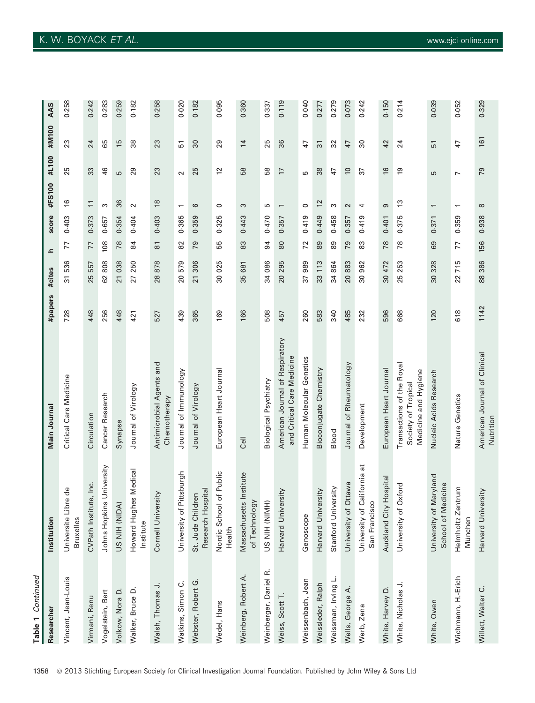| Table 1 Continued     |                                                   |                                                               |         |           |                     |       |                          |                |                |       |
|-----------------------|---------------------------------------------------|---------------------------------------------------------------|---------|-----------|---------------------|-------|--------------------------|----------------|----------------|-------|
| Researcher            | Institution                                       | Main Journal                                                  | #papers | #cites    | ᇰ                   | score | #FS100                   | #L100          | #M100          | AAS   |
| Vincent, Jean-Louis   | Universite Libre de<br><b>Bruxelles</b>           | Critical Care Medicine                                        | 728     | 31536     | 77                  | 0.403 | $\frac{6}{2}$            | 25             | 23             | 0.258 |
| Virmani, Renu         | CVPath Institute, Inc.                            | Circulation                                                   | 448     | 557<br>25 | 77                  | 0.373 | $\overline{\phantom{0}}$ | 33             | 24             | 0.242 |
| Vogelstein, Bert      | Johns Hopkins University                          | Cancer Research                                               | 256     | 62808     | 108                 | 0.657 | S                        | 46             | 89             | 0.283 |
| Volkow, Nora D.       | US NIH (NIDA)                                     | Synapse                                                       | 448     | 21 038    | 78                  | 0.354 | 36                       | S              | 15             | 0.259 |
| Walker, Bruce D.      | Howard Hughes Medical<br>Institute                | Journal of Virology                                           | 421     | 27 250    | 84                  | 0.404 | $\sim$                   | 29             | 88             |       |
| Walsh, Thomas J.      | rsity<br>Cornell Univer                           | Antimicrobial Agents and<br>Chemotherapy                      | 527     | 28878     | $\overline{\infty}$ | 0.403 | $\frac{8}{2}$            | 23             | 23             |       |
| Watkins, Simon C.     | Pittsburgh<br>University of                       | Journal of Immunology                                         | 439     | 579<br>20 | 82                  | 0.365 | $\overline{\phantom{0}}$ | $\sim$         | 51             |       |
| Webster, Robert G.    | Research Hospital<br>St. Jude Children            | Journal of Virology                                           | 365     | 21 306    | 79                  | 0.359 | ဖ                        | 25             | 30             |       |
| Wedel, Hans           | of Public<br>Nordic School<br>Health              | European Heart Journal                                        | 169     | 30 025    | 55                  | 0.325 | $\circ$                  | $\overline{c}$ | 29             |       |
| Weinberg, Robert A.   | Massachusetts Institute<br>of Technology          | <b>Uell</b>                                                   | 166     | 681<br>35 | 83                  | 0.443 | S                        | 58             | $\overline{1}$ |       |
| Weinberger, Daniel R. | US NIH (NIMH)                                     | Biological Psychiatry                                         | 508     | 34 086    | 54                  | 0.470 | S                        | 58             | 25             |       |
| Weiss, Scott          | Harvard University                                | American Journal of Respiratory<br>and Critical Care Medicine | 457     | 295<br>20 | 80                  | 0.357 | $\overline{ }$           | $\overline{1}$ | 36             |       |
| Weissenbach, Jean     | Genoscope                                         | Human Molecular Genetics                                      | 260     | 989<br>57 | 72                  | 0.419 | $\circ$                  | 5              | 47             |       |
| Weissleder, Ralph     | Harvard University                                | Bioconjugate Chemistry                                        | 583     | 113<br>33 | 89                  | 0.449 | 12                       | 38             | $\overline{3}$ |       |
| Weissman, Irving L.   | Stanford University                               | Blood                                                         | 340     | 34 864    | 88                  | 0.458 | S                        | 47             | 32             |       |
| Wells, George A       | Ottawa<br>University of                           | Journal of Rheumatology                                       | 485     | 20883     | 79                  | 0.357 | $\sim$                   | $\overline{0}$ | 47             |       |
| Werb, Zena            | California at<br>San Francisco<br>University of ( | Development                                                   | 232     | 30 962    | 83                  | 0.419 | 4                        | 57             | 30             |       |
| White, Harvey D.      | Hospital<br>Auckland City                         | European Heart Journal                                        | 596     | 30 472    | 78                  | 0.401 | ၜ                        | $\frac{6}{2}$  | 42             |       |
| White, Nicholas J.    | Oxford<br>University of                           | Transactions of the Royal<br>Society of Tropical              | 668     | 25 253    | 78                  | 0.375 | 13                       | <u>ღ</u>       | 24             |       |

| 33    | 46    | ပ     | 29     | 23             | $\mathbf{\sim}$ |
|-------|-------|-------|--------|----------------|-----------------|
| $\Xi$ | ω     | 36    | $\sim$ | $\frac{8}{10}$ |                 |
| 0.373 | 0.657 | 0.354 | 0.404  | 0.403          | 0.365           |

0.052

 $47$ 

 $\overline{a}$ 

 $\overline{a}$ 

0.359

 $\overline{7}$ 

22715

618

0.039

51

ŋ,

 $\overline{\phantom{0}}$ 

0.371

89

328

 $30<sup>2</sup>$ 

120

0.329

161

79

 $\infty$ 

0.938

156

386

88

1142

Medicine and Hygiene

White, Owen University of Maryland Nucleic Acids Research 120 30 328 69 0371 1 5 51 51 0039

Nucleic Acids Research

Wichmann, H.-Erich Helmholtz Zentrum Nature Genetics 618 22 715 77 0359 1 47 9052

Nature Genetics

Willett, Walter C. Harvard University American Journal of Clinical 1142 88 386 156 0938 8 79 161 0329

American Journal of Clinical

Nutrition

Nutrition

School of Medicine

University of Maryland School of Medicine Helmholtz Zentrum

White, Owen

M€unchen

Wichmann, H.-Erich

München

Harvard University

 $\circ$ 

Willett, Walter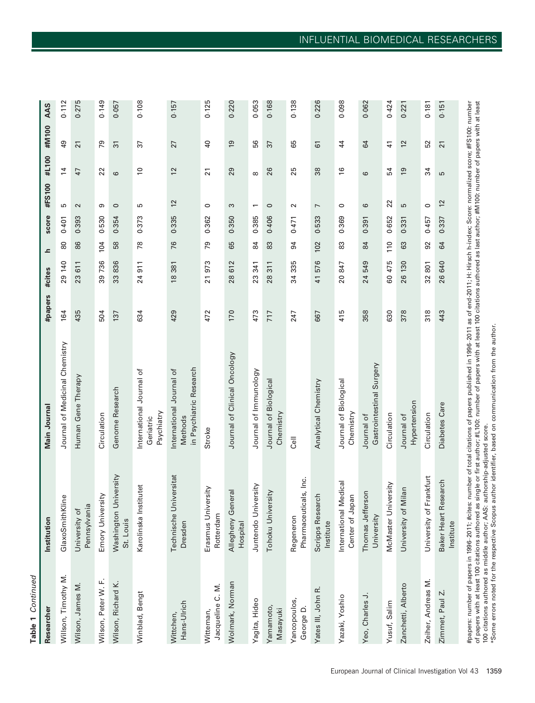Table 1 Continued Table 1 Continued

| Researcher                    | Institution                              | Main Journal                                                   | #papers | #cites                |               | score |                          | #L100                    | #M100           | AAS   |
|-------------------------------|------------------------------------------|----------------------------------------------------------------|---------|-----------------------|---------------|-------|--------------------------|--------------------------|-----------------|-------|
| Willson, Timothy M.           | GlaxoSmithKline                          | Journal of Medicinal Chemistry                                 | 164     | 29 140                | 80            | 0.401 | 5                        | $\overline{4}$           | QÞ              | 0.112 |
| Wilson, James M               | Pennsylvania<br>University of            | Human Gene Therapy                                             | 435     | 23 611                | 86            | 0.393 | $\sim$                   | $\overline{4}$           | $\overline{21}$ | 0.275 |
| Wilson, Peter W. F.           | Emory University                         | Circulation                                                    | 504     | 39 736                | 104           | 0.530 | თ                        | 22                       | 79              | 0.149 |
| Wilson, Richard K.            | niversity<br>Washington U<br>St. Louis   | Genome Research                                                | 137     | 33836                 | 58            | 0.354 | $\circ$                  | $\mathbf  \omega$        | $\overline{3}$  | 0.057 |
| Winblad, Bengt                | Karolinska Institutet                    | International Journal of<br>Psychiatry<br>Geriatric            | 634     | 24911                 | 78            | 0.373 | 5                        | $\overline{\phantom{0}}$ | 5               | 0.108 |
| Hans-Ulrich<br>Wittchen,      | Technische Universitat<br>Dresden        | in Psychiatric Research<br>International Journal of<br>Methods | 429     | 18381                 | 76            | 0.335 | $\approx$                | 12                       | 27              | 0.157 |
| Jacqueline C. M.<br>Witteman, | Erasmus University<br>Rotterdam          | Stroke                                                         | 472     | 21973                 | 79            | 0.362 | $\circ$                  | $\overline{21}$          | $\overline{a}$  | 0.125 |
| Wolmark, Norman               | eral<br>Allegheny Gen<br>Hospital        | Journal of Clinical Oncology                                   | 170     | 612<br>28             | 65            | 0.350 | S                        | 29                       | $\overline{6}$  | 0.220 |
| Yagita, Hideo                 | Juntendo University                      | Journal of Immunology                                          | 473     | 341<br>23             | $\frac{4}{3}$ | 0.385 | $\overline{\phantom{0}}$ | $\infty$                 | 56              | 0.053 |
| Yamamoto,<br>Masayuki         | <b>Ais.</b><br>Tohoku Univer             | Journal of Biological<br>Chemistry                             | 717     | 311<br>28             | 83            | 0.406 | $\circ$                  | 26                       | 37              | 0.168 |
| Yancopoulos,<br>George D.     | Pharmaceuticals, Inc.<br>Regeneron       | اا<br>S                                                        | 247     | 335<br>34             | 94            | 0.471 | $\sim$                   | 25                       | 65              | 0.138 |
| Yates III, John R.            | Scripps Research<br>Institute            | Analytical Chemistry                                           | 667     | 576<br>$\overline{4}$ | 102           | 0.533 | $\overline{ }$           | 38                       | $\overline{6}$  | 0.226 |
| Yazaki, Yoshio                | International Medical<br>Center of Japan | Journal of Biological<br>Chemistry                             | 415     | 20847                 | 83            | 0.369 | $\circ$                  | $\frac{6}{2}$            | $^{44}$         | 0.098 |
| Yeo, Charles J.               | Thomas Jefferson<br>University           | Gastrointestinal Surgery<br>Journal of                         | 358     | 24 549                | 84            | 0.391 | 6                        | 6                        | 64              | 0.062 |
| Yusuf, Salim                  | McMaster University                      | Circulation                                                    | 630     | 60 475                | 110           | 0.652 | 22                       | 54                       | $\frac{4}{1}$   | 0.424 |
| Zanchetti, Alberto            | University of Milan                      | Hypertension<br>Journal of                                     | 378     | 26 130                | 63            | 0.331 | 5                        | $\overline{9}$           | $\overline{c}$  | 0.221 |
| Zeiher, Andreas M.            | University of Frankfurt                  | Circulation                                                    | 318     | 32 801                | 92            | 0.457 | $\circ$                  | 34                       | 52              | 0.181 |
| Zimmet, Paul Z                | Baker Heart Research<br>Institute        | Diabetes Care                                                  | 443     | 26 640                | 64            | 0.337 | $\frac{2}{3}$            | 5                        | $\overline{2}$  | 0.151 |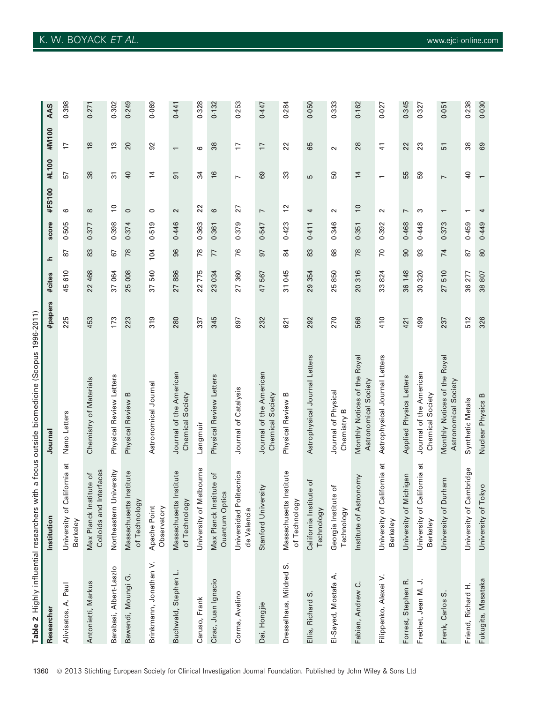|                         |                                                           | Table 2 Highly influential researchers with a focus outside biomedicine (Scopus 1996-2011) |         |           |                |       |                          |                          |                          |                     |
|-------------------------|-----------------------------------------------------------|--------------------------------------------------------------------------------------------|---------|-----------|----------------|-------|--------------------------|--------------------------|--------------------------|---------------------|
| Researcher              | Institution                                               | Journal                                                                                    | #papers | #cites    | ᇰ              | score | #FS100                   | #L100                    | #M100                    | AAS                 |
| Paul<br>Alivisatos, A.  | California at<br>University of<br>Berkeley                | Nano Letters                                                                               | 225     | 45 610    | 52             | 0.505 | 6                        | 57                       | 17                       | 0.398               |
| Antonietti, Markus      | Interfaces<br>stitute of<br>Max Planck In<br>Colloids and | Chemistry of Materials                                                                     | 453     | 22 468    | 83             | 0.377 | $\infty$                 | 38                       | $\frac{8}{2}$            | 0.27                |
| Barabasi, Albert-Laszlo | University<br>Northeastern I                              | Physical Review Letters                                                                    | 173     | 37 064    | 67             | 0.398 | $\overline{0}$           | $\overline{3}$           | $\frac{3}{2}$            | 0.302               |
| Ġ<br>Bawendi, Moungi    | Massachusetts Institute<br>of Technology                  | Physical Review B                                                                          | 223     | 25 008    | 78             | 0.374 | $\circ$                  | $\overline{a}$           | 20                       | 0.249               |
| Brinkmann, Jonathan V.  | Apache Point<br>Observatory                               | Astronomical Journal                                                                       | 319     | 37 540    | 104            | 0.519 | $\circ$                  | $\overline{4}$           | 92                       | 0.069               |
| Buchwald, Stephen L.    | Massachusetts Institute<br>of Technology                  | Journal of the American<br>Chemical Society                                                | 280     | 27886     | 96             | 0.446 | $\sim$                   | 51                       | $\overline{\phantom{0}}$ | $0.44$ <sup>-</sup> |
| Caruso, Frank           | University of Melbourne                                   | Langmuir                                                                                   | 337     | 22775     | 78             | 0.363 | 22                       | 34                       | ဖ                        | 0.328               |
| Cirac, Juan Ignacio     | Max Planck Institute of<br>Quantum Optics                 | Physical Review Letters                                                                    | 345     | 23 034    | 77             | 0.361 | 6                        | $\frac{1}{6}$            | 38                       | 0.132               |
| Corma, Avelino          | Universidad Politecnica<br>de Valencia                    | Journal of Catalysis                                                                       | 697     | 27 360    | 76             | 0.379 | 27                       | $\overline{ }$           | $\overline{1}$           | 0.253               |
| Dai, Hongjie            | Stanford University                                       | Journal of the American<br>Chemical Society                                                | 232     | 47 567    | 57             | 0.547 | $\overline{ }$           | 89                       | $\overline{1}$           | 0.447               |
| Dresselhaus, Mildred S. | Massachusetts Institute<br>of Technology                  | Physical Review B                                                                          | 621     | 31 045    | $\overline{8}$ | 0.423 | $\tilde{c}$              | 33                       | 22                       | 0.284               |
| S<br>Ellis, Richard     | California Institute of<br>Technology                     | Astrophysical Journal Letters                                                              | 292     | 29 354    | 83             | 0.411 | 4                        | S                        | 65                       | 0.050               |
| El-Sayed, Mostafa A.    | Georgia Institute of<br>Technology                        | Journal of Physical<br>Chemistry B                                                         | 270     | 25850     | 89             | 0.346 | $\sim$                   | 50                       | $\sim$                   | 0.333               |
| Fabian, Andrew C.       | tronomy<br>Institute of As                                | Monthly Notices of the Royal<br>Astronomical Society                                       | 566     | 20 316    | 78             | 0.351 | $\overline{0}$           | $\overline{1}$           | 28                       | 0.162               |
| Filippenko, Alexei V.   | ಸ<br>University of California<br>Berkeley                 | Astrophysical Journal Letters                                                              | 410     | 33824     | 70             | 0.392 | $\sim$                   | $\overline{\phantom{0}}$ | 11                       | 0.027               |
| Forrest, Stephen R.     | University of Michigan                                    | Applied Physics Letters                                                                    | 421     | 36 148    | 90             | 0.468 | $\overline{ }$           | 55                       | 22                       | 0.345               |
| Frechet, Jean M. J.     | ಕ<br>University of California<br>Berkeley                 | Journal of the American<br>Chemical Society                                                | 499     | 30 320    | 93             | 0.448 | S                        | 59                       | 23                       | 0.327               |
| S<br>Frenk, Carlos      | University of Durham                                      | Monthly Notices of the Royal<br>Astronomical Society                                       | 237     | 510<br>27 | 74             | 0.373 | $\overline{\phantom{0}}$ | $\overline{ }$           | 51                       | 0.051               |
| Friend, Richard H.      | University of Cambridge                                   | Synthetic Metals                                                                           | 512     | 36 277    | 67             | 0.459 | $\overline{ }$           | Sł                       | 88                       | 0.238               |
| Fukugita, Masataka      | University of Tokyo                                       | Nuclear Physics B                                                                          | 326     | 38807     | 80             | 0.449 | 4                        |                          | 69                       | 0.030               |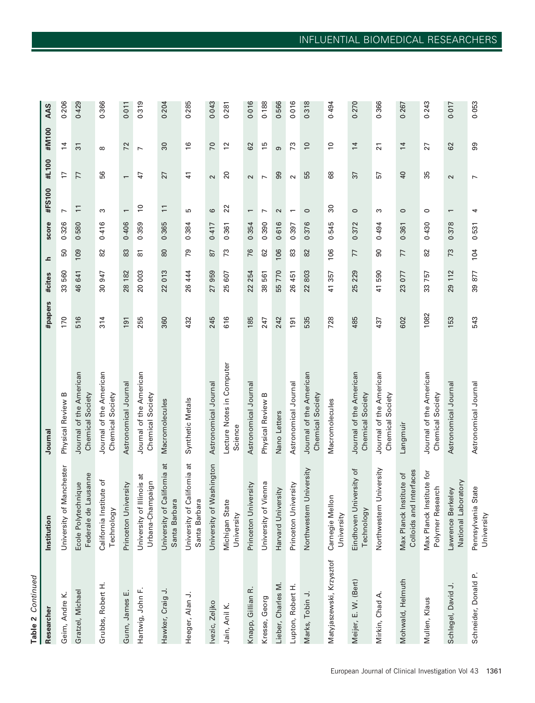| ı |
|---|
| r |
|   |
|   |
|   |

| Researcher               | Institution                                         | Journal                                     | #papers | #cites                | ᇰ                   | score | #FS100                   | #L100                    | #M100           | AAS   |
|--------------------------|-----------------------------------------------------|---------------------------------------------|---------|-----------------------|---------------------|-------|--------------------------|--------------------------|-----------------|-------|
| Geim, Andre K.           | Manchester<br>University of                         | Physical Review B                           | 170     | 33 560                | 50                  | 0.326 |                          | 17                       | $\overline{4}$  | 0.206 |
| Gratzel, Michael         | Federale de Lausanne<br>Ecole Polytechnique         | Journal of the American<br>Chemical Society | 516     | 46 641                | 109                 | 0.580 | $\overline{1}$           | 77                       | $\overline{3}$  | 0.429 |
| Grubbs, Robert H.        | California Institute of<br>Technology               | Journal of the American<br>Chemical Society | 314     | 30 947                | 82                  | 0.416 | S                        | 56                       | ${}^{\circ}$    | 0.366 |
| Gunn, James E.           | Princeton University                                | Astronomical Journal                        | 191     | 28 182                | 83                  | 0.406 | $\overline{\phantom{0}}$ | $\overline{\phantom{0}}$ | 72              | 0.011 |
| Hartwig, John F.         | Illinois at<br>Urbana-Champaign<br>University of    | Journal of the American<br>Chemical Society | 255     | 20 003                | $\overline{\infty}$ | 0.359 | $\overline{0}$           | $\ddot{+}$               | $\overline{ }$  | 0.319 |
| ⇒<br>Hawker, Craig       | ã<br>California<br>Santa Barbara<br>University of   | Macromolecules                              | 360     | 22013                 | 80                  | 0.365 | $\Xi$                    | 27                       | 30              | 0.204 |
| Heeger, Alan J.          | California at<br>Santa Barbara<br>University of     | Synthetic Metals                            | 432     | 26 444                | 79                  | 0.384 | S                        | $\frac{4}{3}$            | $\frac{6}{2}$   | 0.285 |
| Ivezic, Zeljko           | Washington<br>University of                         | Astronomical Journal                        | 245     | 27 959                | 87                  | 0.417 | 6                        | $\sim$                   | 70              | 0.043 |
| Jain, Anil K.            | Michigan State<br>University                        | Lecture Notes in Computer<br>Science        | 616     | 25 607                | 73                  | 0.361 | 22                       | $\overline{20}$          | $\overline{2}$  | 0.281 |
| Knapp, Gillian R.        | Princeton University                                | Astronomical Journal                        | 185     | 254<br>22             | 76                  | 0.354 | $\overline{\phantom{0}}$ | $\sim$                   | 62              | 0.016 |
| Kresse, Georg            | Vienna<br>University of                             | Physical Review B                           | 247     | 38561                 | 62                  | 0.390 | $\overline{ }$           | $\overline{ }$           | 15              | 0.188 |
| Lieber, Charles M.       | Harvard University                                  | Nano Letters                                | 242     | 55 770                | 106                 | 0.616 | $\mathbf{\Omega}$        | 8                        | တ               | 0.566 |
| Lupton, Robert H.        | iversity<br>Princeton Uni                           | Astronomical Journal                        | 191     | 26 451                | 83                  | 0.397 |                          | $\sim$                   | 73              | 0.016 |
| Marks, Tobin J.          | University<br>Northwestern                          | Journal of the American<br>Chemical Society | 535     | 803<br>22             | 82                  | 0.376 | 0                        | 55                       | $\overline{0}$  | 0.318 |
| Matyjaszewski, Krzysztof | Carnegie Mellon<br>University                       | Macromolecules                              | 728     | 41 357                | 106                 | 0.545 | 30                       | 89                       | $\overline{0}$  | 0.494 |
| Meijer, E. W. (Bert)     | Eindhoven University of<br>Technology               | Journal of the American<br>Chemical Society | 485     | 25 229                | 77                  | 0.372 | $\circ$                  | $\overline{37}$          | $\overline{1}$  | 0.270 |
| Mirkin, Chad A.          | University<br>Northwestern                          | Journal of the American<br>Chemical Society | 437     | 590<br>$\overline{4}$ | 90                  | 0.494 | ω                        | 57                       | $\overline{21}$ | 0.366 |
| Mohwald, Helmuth         | Colloids and Interfaces<br>Max Planck Institute of  | Langmuir                                    | 602     | 23 077                | 77                  | 0.361 | $\circ$                  | $\overline{a}$           | 14              | 0.267 |
| Mullen, Klaus            | Max Planck Institute for<br>search<br>Polymer Res   | Journal of the American<br>Chemical Society | 1082    | 33757                 | 82                  | 0.430 | $\circ$                  | 35                       | 27              | 0.243 |
| Schlegel, David J.       | National Laboratory<br><b>Veley</b><br>Lawrence Ber | Astronomical Journal                        | 153     | 29 112                | 73                  | 0.378 | $\overline{ }$           | $\sim$                   | 62              | 0.017 |
| Schneider, Donald P.     | State<br>Pennsylvania<br>University                 | Astronomical Journal                        | 543     | 39877                 | 104                 | 0.531 | 4                        | $\overline{ }$           | 99              | 0.053 |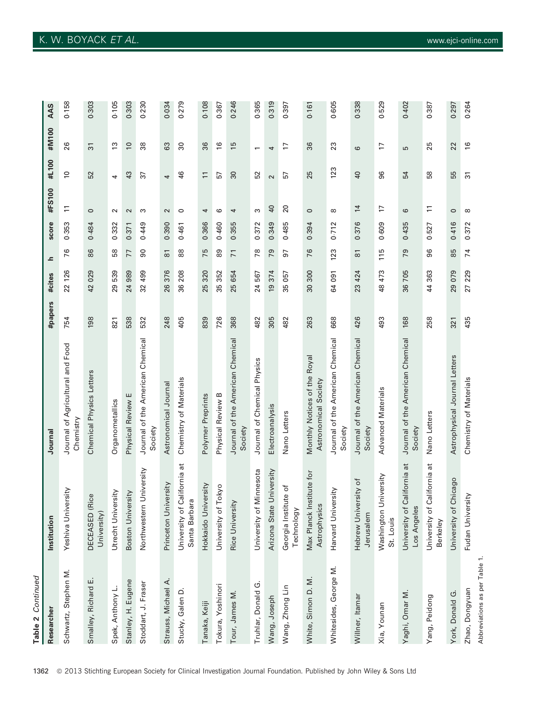| Table 2 Continued     |                                                    |                                                      |         |                      |                     |       |                 |                   |                          |       |
|-----------------------|----------------------------------------------------|------------------------------------------------------|---------|----------------------|---------------------|-------|-----------------|-------------------|--------------------------|-------|
| Researche             | Institution                                        | Journa                                               | #papers | #cites               | ᇰ                   | score | #FS100          | #L100             | #M100                    | AAS   |
| Schwartz, Stephen M.  | Yeshiva University                                 | Journal of Agricultural and Food<br>Chemistry        | 754     | 22 126               | 76                  | 0.353 | $\Xi$           | $\approx$         | 26                       | 0.158 |
| Smalley, Richard E.   | DECEASED (Rice<br>University)                      | Chemical Physics Letters                             | 198     | 42029                | 86                  | 0.484 | $\circ$         | 52                | $\overline{3}$           | 0.303 |
| Spek, Anthony L.      | Utrecht University                                 | Organometallics                                      | 821     | 29539                | 58                  | 0.332 | $\sim$          | 4                 | $\frac{3}{2}$            | 0.105 |
| Stanley, H. Eugene    | Boston University                                  | Physical Review E                                    | 538     | 24 989               | 77                  | 0.371 | 2               | 43                | $\overline{0}$           | 0.303 |
| Stoddart, J. Fraser   | University<br>Northwestern                         | Journal of the American Chemical<br>Society          | 532     | 32 499               | 90                  | 0.449 | S               | 37                | 38                       | 0.230 |
| Strauss, Michael A.   | Princeton University                               | Astronomical Journal                                 | 248     | 26 376               | $\overline{8}$      | 0.390 | $\sim$          | 4                 | 63                       | 0.034 |
| Stucky, Galen D       | California at<br>Santa Barbara<br>University of    | Chemistry of Materials                               | 405     | 36 208               | 88                  | 0.461 | $\circ$         | 46                | 30                       | 0.279 |
| Tanaka, Keiji         | Hokkaido University                                | Polymer Preprints                                    | 839     | 25 320               | 75                  | 0.366 | 4               | $\overline{1}$    | 36                       | 0.108 |
| Tokura, Yoshinori     | Tokyo<br>University of                             | Physical Review B                                    | 726     | 352<br>35            | 89                  | 0.460 | ဖ               | 57                | $\frac{6}{2}$            | 0.367 |
| Tour, James M.        | Rice University                                    | Journal of the American Chemical<br>Society          | 368     | 25 654               | $\overline{7}$      | 0.355 | 4               | $\overline{30}$   | 15                       | 0.246 |
| Truhlar, Donald G.    | Minnesota<br>University of                         | Journal of Chemical Physics                          | 482     | 24 567               | 78                  | 0.372 | S               | 52                | $\overline{\phantom{0}}$ | 0.365 |
| Wang, Joseph          | Arizona State University                           | Electroanalysis                                      | 305     | 374<br>$\frac{1}{2}$ | 79                  | 0.349 | $\overline{a}$  | $\mathbf{\Omega}$ | 4                        | 0.319 |
| Wang, Zhong Lin       | tute of<br>Georgia Instit<br>Technology            | Nano Letters                                         | 482     | 057<br>35            | 57                  | 0.485 | $\overline{20}$ | 57                | 17                       | 0.397 |
| White, Simon D. M.    | Max Planck Institute for<br>Astrophysics           | Monthly Notices of the Royal<br>Astronomical Society | 263     | 30 300               | 76                  | 0.394 | $\circ$         | 25                | 36                       | 0.161 |
| Whitesides, George M. | Harvard University                                 | Journal of the American Chemical<br>Society          | 668     | 64 091               | 123                 | 0.712 | $\infty$        | 123               | 23                       | 0.605 |
| Willner, Itamar       | Hebrew University of<br>Jerusalem                  | Journal of the American Chemical<br>Society          | 426     | 23 424               | $\overline{\infty}$ | 0.376 | $\overline{1}$  | $\overline{40}$   | 6                        | 0.338 |
| Xia, Younan           | University<br>Washington <sup>1</sup><br>St. Louis | Advanced Materials                                   | 493     | 48 473               | 115                 | 0.609 | F               | 96                | F                        | 0.529 |
| Yaghi, Omar M.        | California at<br>Los Angeles<br>University of      | Journal of the American Chemical<br>Society          | 168     | 36 705               | 79                  | 0.435 | ဖ               | 54                | 5                        | 0.402 |
| Yang, Peidong         | California at<br>University of<br><b>Berkeley</b>  | Nano Letters                                         | 258     | 44 363               | 96                  | 0.527 | $\overline{1}$  | 58                | 25                       | 0.387 |
| York, Donald G.       | Chicago<br>University of                           | Astrophysical Journal Letters                        | 321     | 29 079               | 85                  | 0.416 | $\circ$         | 55                | 22                       | 0.297 |
| Zhao, Dongyuan        | Fudan University                                   | Chemistry of Materials                               | 435     | 27 229               | 74                  | 0.372 | $\infty$        | $\overline{5}$    | $\frac{6}{2}$            | 0.264 |

297<br>264

Abbreviations as per Table 1.

Abbreviations as per Table 1.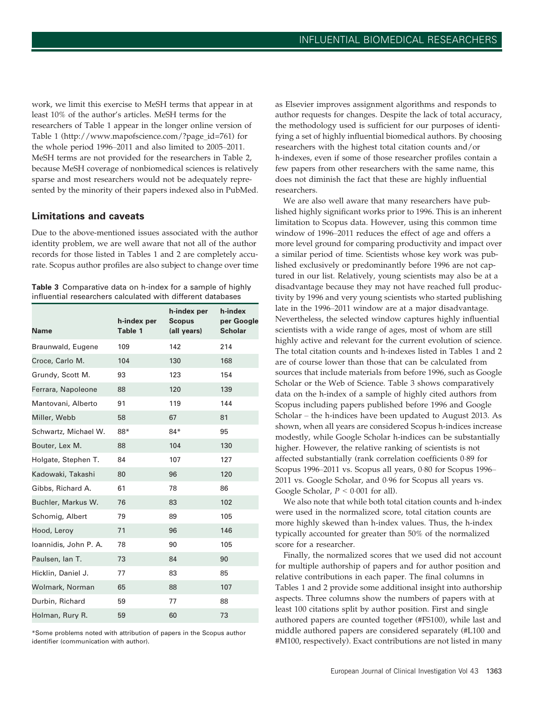work, we limit this exercise to MeSH terms that appear in at least 10% of the author's articles. MeSH terms for the researchers of Table 1 appear in the longer online version of Table 1 [\(http://www.mapofscience.com/?page\\_id=761](http://www.mapofscience.com/?page_id=761)) for the whole period 1996–2011 and also limited to 2005–2011. MeSH terms are not provided for the researchers in Table 2, because MeSH coverage of nonbiomedical sciences is relatively sparse and most researchers would not be adequately represented by the minority of their papers indexed also in PubMed.

#### Limitations and caveats

Due to the above-mentioned issues associated with the author identity problem, we are well aware that not all of the author records for those listed in Tables 1 and 2 are completely accurate. Scopus author profiles are also subject to change over time

Table 3 Comparative data on h-index for a sample of highly infuential researchers calculated with different databases

| <b>Name</b>           | h-index per<br>Table 1 | h-index per<br><b>Scopus</b><br>(all years) | h-index<br>per Google<br><b>Scholar</b> |
|-----------------------|------------------------|---------------------------------------------|-----------------------------------------|
| Braunwald, Eugene     | 109                    | 142                                         | 214                                     |
| Croce, Carlo M.       | 104                    | 130                                         | 168                                     |
| Grundy, Scott M.      | 93                     | 123                                         | 154                                     |
| Ferrara, Napoleone    | 88                     | 120                                         | 139                                     |
| Mantovani, Alberto    | 91                     | 119                                         | 144                                     |
| Miller, Webb          | 58                     | 67                                          | 81                                      |
| Schwartz, Michael W.  | 88*                    | $84*$                                       | 95                                      |
| Bouter, Lex M.        | 88                     | 104                                         | 130                                     |
| Holgate, Stephen T.   | 84                     | 107                                         | 127                                     |
| Kadowaki, Takashi     | 80                     | 96                                          | 120                                     |
| Gibbs, Richard A.     | 61                     | 78                                          | 86                                      |
| Buchler, Markus W.    | 76                     | 83                                          | 102                                     |
| Schomig, Albert       | 79                     | 89                                          | 105                                     |
| Hood, Leroy           | 71                     | 96                                          | 146                                     |
| Ioannidis, John P. A. | 78                     | 90                                          | 105                                     |
| Paulsen, lan T.       | 73                     | 84                                          | 90                                      |
| Hicklin, Daniel J.    | 77                     | 83                                          | 85                                      |
| Wolmark, Norman       | 65                     | 88                                          | 107                                     |
| Durbin, Richard       | 59                     | 77                                          | 88                                      |
| Holman, Rury R.       | 59                     | 60                                          | 73                                      |

\*Some problems noted with attribution of papers in the Scopus author identifier (communication with author).

as Elsevier improves assignment algorithms and responds to author requests for changes. Despite the lack of total accuracy, the methodology used is sufficient for our purposes of identifying a set of highly influential biomedical authors. By choosing researchers with the highest total citation counts and/or h-indexes, even if some of those researcher profiles contain a few papers from other researchers with the same name, this does not diminish the fact that these are highly influential researchers.

We are also well aware that many researchers have published highly significant works prior to 1996. This is an inherent limitation to Scopus data. However, using this common time window of 1996–2011 reduces the effect of age and offers a more level ground for comparing productivity and impact over a similar period of time. Scientists whose key work was published exclusively or predominantly before 1996 are not captured in our list. Relatively, young scientists may also be at a disadvantage because they may not have reached full productivity by 1996 and very young scientists who started publishing late in the 1996–2011 window are at a major disadvantage. Nevertheless, the selected window captures highly influential scientists with a wide range of ages, most of whom are still highly active and relevant for the current evolution of science. The total citation counts and h-indexes listed in Tables 1 and 2 are of course lower than those that can be calculated from sources that include materials from before 1996, such as Google Scholar or the Web of Science. Table 3 shows comparatively data on the h-index of a sample of highly cited authors from Scopus including papers published before 1996 and Google Scholar – the h-indices have been updated to August 2013. As shown, when all years are considered Scopus h-indices increase modestly, while Google Scholar h-indices can be substantially higher. However, the relative ranking of scientists is not affected substantially (rank correlation coefficients 0.89 for Scopus 1996–2011 vs. Scopus all years, 0.80 for Scopus 1996– 2011 vs. Google Scholar, and 0.96 for Scopus all years vs. Google Scholar,  $P < 0.001$  for all).

We also note that while both total citation counts and h-index were used in the normalized score, total citation counts are more highly skewed than h-index values. Thus, the h-index typically accounted for greater than 50% of the normalized score for a researcher.

Finally, the normalized scores that we used did not account for multiple authorship of papers and for author position and relative contributions in each paper. The final columns in Tables 1 and 2 provide some additional insight into authorship aspects. Three columns show the numbers of papers with at least 100 citations split by author position. First and single authored papers are counted together (#FS100), while last and middle authored papers are considered separately (#L100 and #M100, respectively). Exact contributions are not listed in many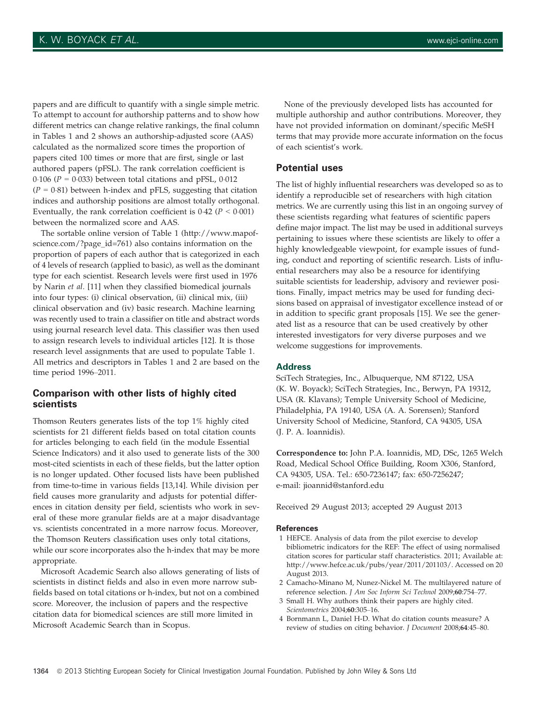papers and are difficult to quantify with a single simple metric. To attempt to account for authorship patterns and to show how different metrics can change relative rankings, the final column in Tables 1 and 2 shows an authorship-adjusted score (AAS) calculated as the normalized score times the proportion of papers cited 100 times or more that are first, single or last authored papers (pFSL). The rank correlation coefficient is 0.106 ( $P = 0.033$ ) between total citations and pFSL, 0.012  $(P = 0.81)$  between h-index and pFLS, suggesting that citation indices and authorship positions are almost totally orthogonal. Eventually, the rank correlation coefficient is  $0.42$  ( $P < 0.001$ ) between the normalized score and AAS.

The sortable online version of Table 1 (<http://www.mapof>science.com/?page\_id=761) also contains information on the proportion of papers of each author that is categorized in each of 4 levels of research (applied to basic), as well as the dominant type for each scientist. Research levels were first used in 1976 by Narin et al. [11] when they classified biomedical journals into four types: (i) clinical observation, (ii) clinical mix, (iii) clinical observation and (iv) basic research. Machine learning was recently used to train a classifier on title and abstract words using journal research level data. This classifier was then used to assign research levels to individual articles [12]. It is those research level assignments that are used to populate Table 1. All metrics and descriptors in Tables 1 and 2 are based on the time period 1996–2011.

#### Comparison with other lists of highly cited scientists

Thomson Reuters generates lists of the top 1% highly cited scientists for 21 different fields based on total citation counts for articles belonging to each field (in the module Essential Science Indicators) and it also used to generate lists of the 300 most-cited scientists in each of these fields, but the latter option is no longer updated. Other focused lists have been published from time-to-time in various fields [13,14]. While division per field causes more granularity and adjusts for potential differences in citation density per field, scientists who work in several of these more granular fields are at a major disadvantage vs. scientists concentrated in a more narrow focus. Moreover, the Thomson Reuters classification uses only total citations, while our score incorporates also the h-index that may be more appropriate.

Microsoft Academic Search also allows generating of lists of scientists in distinct fields and also in even more narrow subfields based on total citations or h-index, but not on a combined score. Moreover, the inclusion of papers and the respective citation data for biomedical sciences are still more limited in Microsoft Academic Search than in Scopus.

None of the previously developed lists has accounted for multiple authorship and author contributions. Moreover, they have not provided information on dominant/specific MeSH terms that may provide more accurate information on the focus of each scientist's work.

#### Potential uses

The list of highly influential researchers was developed so as to identify a reproducible set of researchers with high citation metrics. We are currently using this list in an ongoing survey of these scientists regarding what features of scientific papers define major impact. The list may be used in additional surveys pertaining to issues where these scientists are likely to offer a highly knowledgeable viewpoint, for example issues of funding, conduct and reporting of scientific research. Lists of influential researchers may also be a resource for identifying suitable scientists for leadership, advisory and reviewer positions. Finally, impact metrics may be used for funding decisions based on appraisal of investigator excellence instead of or in addition to specific grant proposals [15]. We see the generated list as a resource that can be used creatively by other interested investigators for very diverse purposes and we welcome suggestions for improvements.

#### Address

SciTech Strategies, Inc., Albuquerque, NM 87122, USA (K. W. Boyack); SciTech Strategies, Inc., Berwyn, PA 19312, USA (R. Klavans); Temple University School of Medicine, Philadelphia, PA 19140, USA (A. A. Sorensen); Stanford University School of Medicine, Stanford, CA 94305, USA (J. P. A. Ioannidis).

Correspondence to: John P.A. Ioannidis, MD, DSc, 1265 Welch Road, Medical School Office Building, Room X306, Stanford, CA 94305, USA. Tel.: 650-7236147; fax: 650-7256247; e-mail: [jioannid@stanford.edu](mailto:jioannid@stanford.edu)

Received 29 August 2013; accepted 29 August 2013

#### References

- 1 HEFCE. Analysis of data from the pilot exercise to develop bibliometric indicators for the REF: The effect of using normalised citation scores for particular staff characteristics. 2011; Available at: [http://www.hefce.ac.uk/pubs/year/2011/201103/](http://www.hefce.ac.uk/pubs/year/2011/201103). Accessed on 20 August 2013.
- 2 Camacho-Minano M, Nunez-Nickel M. The multilayered nature of reference selection. J Am Soc Inform Sci Technol 2009;60:754–77.
- 3 Small H. Why authors think their papers are highly cited. Scientometrics 2004;60:305–16.
- 4 Bornmann L, Daniel H-D. What do citation counts measure? A review of studies on citing behavior. J Document 2008;64:45–80.